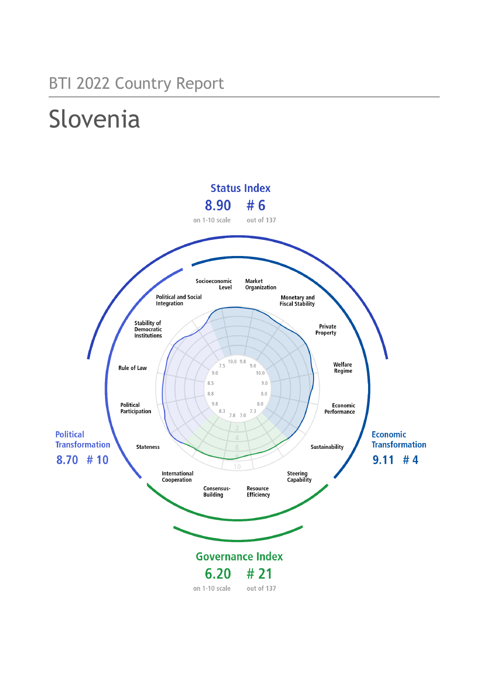## BTI 2022 Country Report

# Slovenia

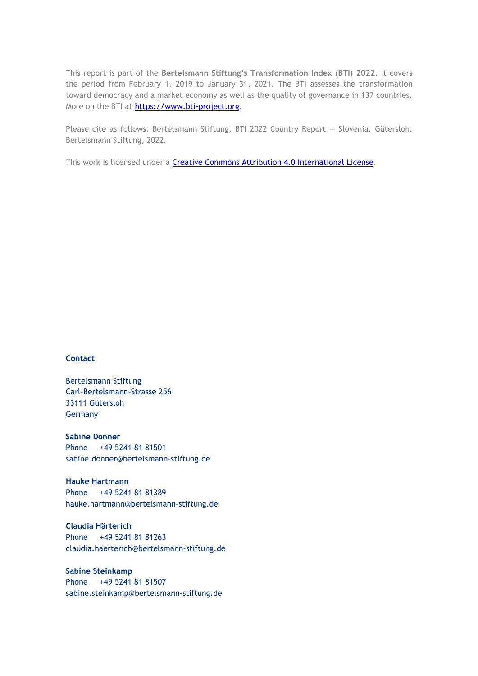This report is part of the **Bertelsmann Stiftung's Transformation Index (BTI) 2022**. It covers the period from February 1, 2019 to January 31, 2021. The BTI assesses the transformation toward democracy and a market economy as well as the quality of governance in 137 countries. More on the BTI at [https://www.bti-project.org.](https://www.bti-project.org/)

Please cite as follows: Bertelsmann Stiftung, BTI 2022 Country Report — Slovenia. Gütersloh: Bertelsmann Stiftung, 2022.

This work is licensed under a **Creative Commons Attribution 4.0 International License**.

#### **Contact**

Bertelsmann Stiftung Carl-Bertelsmann-Strasse 256 33111 Gütersloh Germany

**Sabine Donner** Phone +49 5241 81 81501 sabine.donner@bertelsmann-stiftung.de

**Hauke Hartmann** Phone +49 5241 81 81389 hauke.hartmann@bertelsmann-stiftung.de

**Claudia Härterich** Phone +49 5241 81 81263 claudia.haerterich@bertelsmann-stiftung.de

#### **Sabine Steinkamp** Phone +49 5241 81 81507 sabine.steinkamp@bertelsmann-stiftung.de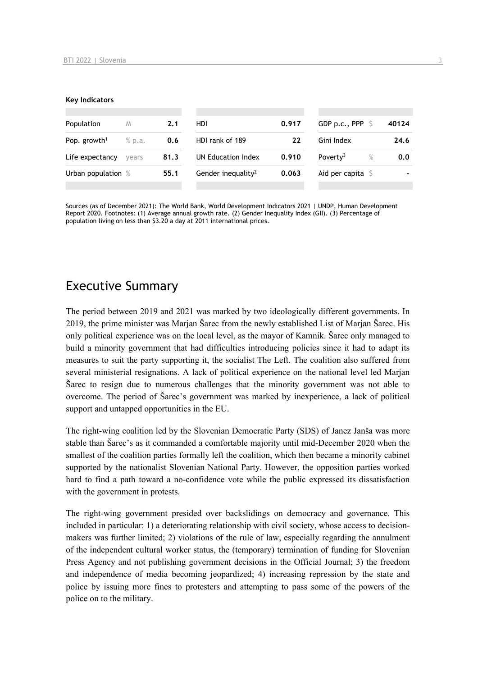#### **Key Indicators**

| Population                         | M     | 2.1  | <b>HDI</b>                     | 0.917 | GDP p.c., PPP $\ S$          | 40124          |
|------------------------------------|-------|------|--------------------------------|-------|------------------------------|----------------|
| Pop. growth <sup>1</sup><br>% p.a. |       | 0.6  | HDI rank of 189<br>22          |       | Gini Index                   | 24.6           |
| Life expectancy                    | vears | 81.3 | UN Education Index             | 0.910 | $\%$<br>Poverty <sup>3</sup> | 0.0            |
| Urban population %                 |       | 55.1 | Gender inequality <sup>2</sup> | 0.063 | Aid per capita $S$           | $\blacksquare$ |
|                                    |       |      |                                |       |                              |                |

Sources (as of December 2021): The World Bank, World Development Indicators 2021 | UNDP, Human Development Report 2020. Footnotes: (1) Average annual growth rate. (2) Gender Inequality Index (GII). (3) Percentage of population living on less than \$3.20 a day at 2011 international prices.

## Executive Summary

The period between 2019 and 2021 was marked by two ideologically different governments. In 2019, the prime minister was Marjan Šarec from the newly established List of Marjan Šarec. His only political experience was on the local level, as the mayor of Kamnik. Šarec only managed to build a minority government that had difficulties introducing policies since it had to adapt its measures to suit the party supporting it, the socialist The Left. The coalition also suffered from several ministerial resignations. A lack of political experience on the national level led Marjan Šarec to resign due to numerous challenges that the minority government was not able to overcome. The period of Šarec's government was marked by inexperience, a lack of political support and untapped opportunities in the EU.

The right-wing coalition led by the Slovenian Democratic Party (SDS) of Janez Janša was more stable than Šarec's as it commanded a comfortable majority until mid-December 2020 when the smallest of the coalition parties formally left the coalition, which then became a minority cabinet supported by the nationalist Slovenian National Party. However, the opposition parties worked hard to find a path toward a no-confidence vote while the public expressed its dissatisfaction with the government in protests.

The right-wing government presided over backslidings on democracy and governance. This included in particular: 1) a deteriorating relationship with civil society, whose access to decisionmakers was further limited; 2) violations of the rule of law, especially regarding the annulment of the independent cultural worker status, the (temporary) termination of funding for Slovenian Press Agency and not publishing government decisions in the Official Journal; 3) the freedom and independence of media becoming jeopardized; 4) increasing repression by the state and police by issuing more fines to protesters and attempting to pass some of the powers of the police on to the military.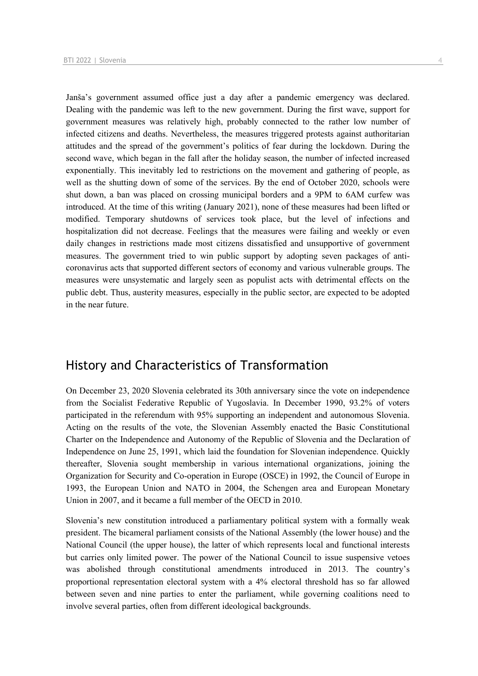Janša's government assumed office just a day after a pandemic emergency was declared. Dealing with the pandemic was left to the new government. During the first wave, support for government measures was relatively high, probably connected to the rather low number of infected citizens and deaths. Nevertheless, the measures triggered protests against authoritarian attitudes and the spread of the government's politics of fear during the lockdown. During the second wave, which began in the fall after the holiday season, the number of infected increased exponentially. This inevitably led to restrictions on the movement and gathering of people, as well as the shutting down of some of the services. By the end of October 2020, schools were shut down, a ban was placed on crossing municipal borders and a 9PM to 6AM curfew was introduced. At the time of this writing (January 2021), none of these measures had been lifted or modified. Temporary shutdowns of services took place, but the level of infections and hospitalization did not decrease. Feelings that the measures were failing and weekly or even daily changes in restrictions made most citizens dissatisfied and unsupportive of government measures. The government tried to win public support by adopting seven packages of anticoronavirus acts that supported different sectors of economy and various vulnerable groups. The measures were unsystematic and largely seen as populist acts with detrimental effects on the public debt. Thus, austerity measures, especially in the public sector, are expected to be adopted in the near future.

## History and Characteristics of Transformation

On December 23, 2020 Slovenia celebrated its 30th anniversary since the vote on independence from the Socialist Federative Republic of Yugoslavia. In December 1990, 93.2% of voters participated in the referendum with 95% supporting an independent and autonomous Slovenia. Acting on the results of the vote, the Slovenian Assembly enacted the Basic Constitutional Charter on the Independence and Autonomy of the Republic of Slovenia and the Declaration of Independence on June 25, 1991, which laid the foundation for Slovenian independence. Quickly thereafter, Slovenia sought membership in various international organizations, joining the Organization for Security and Co-operation in Europe (OSCE) in 1992, the Council of Europe in 1993, the European Union and NATO in 2004, the Schengen area and European Monetary Union in 2007, and it became a full member of the OECD in 2010.

Slovenia's new constitution introduced a parliamentary political system with a formally weak president. The bicameral parliament consists of the National Assembly (the lower house) and the National Council (the upper house), the latter of which represents local and functional interests but carries only limited power. The power of the National Council to issue suspensive vetoes was abolished through constitutional amendments introduced in 2013. The country's proportional representation electoral system with a 4% electoral threshold has so far allowed between seven and nine parties to enter the parliament, while governing coalitions need to involve several parties, often from different ideological backgrounds.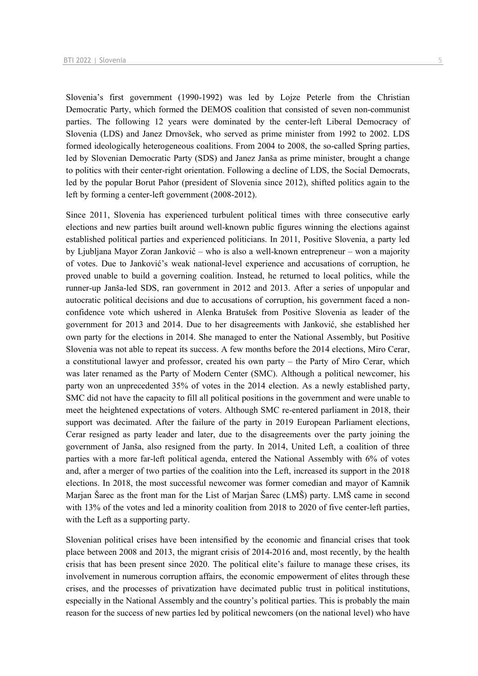Slovenia's first government (1990-1992) was led by Lojze Peterle from the Christian

Democratic Party, which formed the DEMOS coalition that consisted of seven non-communist parties. The following 12 years were dominated by the center-left Liberal Democracy of Slovenia (LDS) and Janez Drnovšek, who served as prime minister from 1992 to 2002. LDS formed ideologically heterogeneous coalitions. From 2004 to 2008, the so-called Spring parties, led by Slovenian Democratic Party (SDS) and Janez Janša as prime minister, brought a change to politics with their center-right orientation. Following a decline of LDS, the Social Democrats, led by the popular Borut Pahor (president of Slovenia since 2012), shifted politics again to the left by forming a center-left government (2008-2012).

Since 2011, Slovenia has experienced turbulent political times with three consecutive early elections and new parties built around well-known public figures winning the elections against established political parties and experienced politicians. In 2011, Positive Slovenia, a party led by Ljubljana Mayor Zoran Janković – who is also a well-known entrepreneur – won a majority of votes. Due to Janković's weak national-level experience and accusations of corruption, he proved unable to build a governing coalition. Instead, he returned to local politics, while the runner-up Janša-led SDS, ran government in 2012 and 2013. After a series of unpopular and autocratic political decisions and due to accusations of corruption, his government faced a nonconfidence vote which ushered in Alenka Bratušek from Positive Slovenia as leader of the government for 2013 and 2014. Due to her disagreements with Janković, she established her own party for the elections in 2014. She managed to enter the National Assembly, but Positive Slovenia was not able to repeat its success. A few months before the 2014 elections, Miro Cerar, a constitutional lawyer and professor, created his own party – the Party of Miro Cerar, which was later renamed as the Party of Modern Center (SMC). Although a political newcomer, his party won an unprecedented 35% of votes in the 2014 election. As a newly established party, SMC did not have the capacity to fill all political positions in the government and were unable to meet the heightened expectations of voters. Although SMC re-entered parliament in 2018, their support was decimated. After the failure of the party in 2019 European Parliament elections, Cerar resigned as party leader and later, due to the disagreements over the party joining the government of Janša, also resigned from the party. In 2014, United Left, a coalition of three parties with a more far-left political agenda, entered the National Assembly with 6% of votes and, after a merger of two parties of the coalition into the Left, increased its support in the 2018 elections. In 2018, the most successful newcomer was former comedian and mayor of Kamnik Marjan Šarec as the front man for the List of Marjan Šarec (LMŠ) party. LMŠ came in second with 13% of the votes and led a minority coalition from 2018 to 2020 of five center-left parties, with the Left as a supporting party.

Slovenian political crises have been intensified by the economic and financial crises that took place between 2008 and 2013, the migrant crisis of 2014-2016 and, most recently, by the health crisis that has been present since 2020. The political elite's failure to manage these crises, its involvement in numerous corruption affairs, the economic empowerment of elites through these crises, and the processes of privatization have decimated public trust in political institutions, especially in the National Assembly and the country's political parties. This is probably the main reason for the success of new parties led by political newcomers (on the national level) who have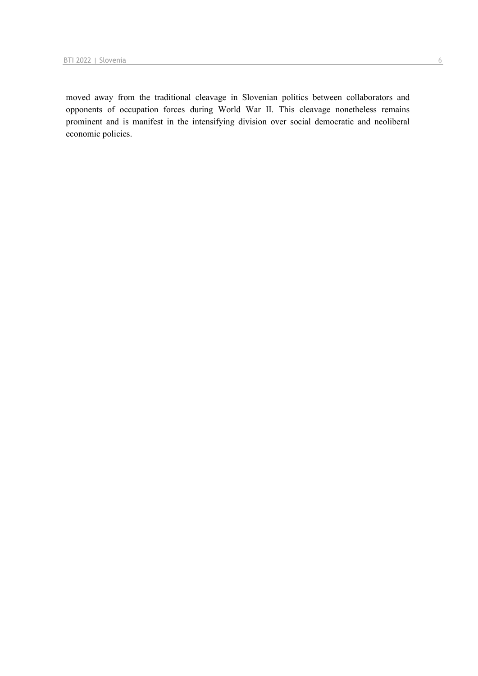moved away from the traditional cleavage in Slovenian politics between collaborators and opponents of occupation forces during World War II. This cleavage nonetheless remains prominent and is manifest in the intensifying division over social democratic and neoliberal economic policies.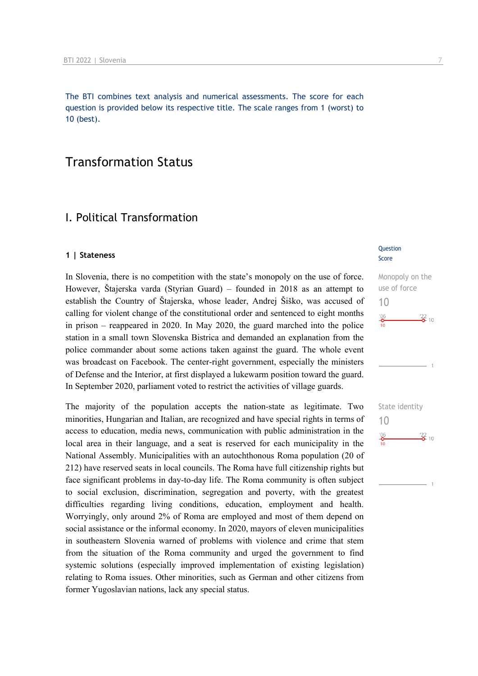The BTI combines text analysis and numerical assessments. The score for each question is provided below its respective title. The scale ranges from 1 (worst) to 10 (best).

## Transformation Status

## I. Political Transformation

#### **1 | Stateness**

In Slovenia, there is no competition with the state's monopoly on the use of force. However, Štajerska varda (Styrian Guard) – founded in 2018 as an attempt to establish the Country of Štajerska, whose leader, Andrej Šiško, was accused of calling for violent change of the constitutional order and sentenced to eight months in prison – reappeared in 2020. In May 2020, the guard marched into the police station in a small town Slovenska Bistrica and demanded an explanation from the police commander about some actions taken against the guard. The whole event was broadcast on Facebook. The center-right government, especially the ministers of Defense and the Interior, at first displayed a lukewarm position toward the guard. In September 2020, parliament voted to restrict the activities of village guards.

The majority of the population accepts the nation-state as legitimate. Two minorities, Hungarian and Italian, are recognized and have special rights in terms of access to education, media news, communication with public administration in the local area in their language, and a seat is reserved for each municipality in the National Assembly. Municipalities with an autochthonous Roma population (20 of 212) have reserved seats in local councils. The Roma have full citizenship rights but face significant problems in day-to-day life. The Roma community is often subject to social exclusion, discrimination, segregation and poverty, with the greatest difficulties regarding living conditions, education, employment and health. Worryingly, only around 2% of Roma are employed and most of them depend on social assistance or the informal economy. In 2020, mayors of eleven municipalities in southeastern Slovenia warned of problems with violence and crime that stem from the situation of the Roma community and urged the government to find systemic solutions (especially improved implementation of existing legislation) relating to Roma issues. Other minorities, such as German and other citizens from former Yugoslavian nations, lack any special status.

#### **Question** Score



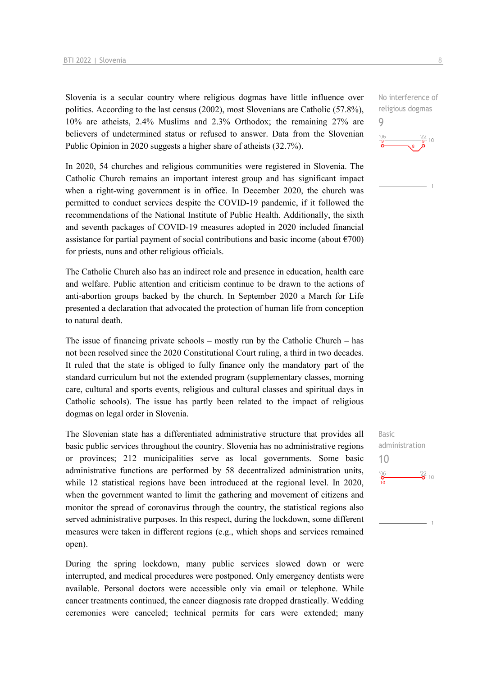Slovenia is a secular country where religious dogmas have little influence over politics. According to the last census (2002), most Slovenians are Catholic (57.8%), 10% are atheists, 2.4% Muslims and 2.3% Orthodox; the remaining 27% are believers of undetermined status or refused to answer. Data from the Slovenian Public Opinion in 2020 suggests a higher share of atheists (32.7%).

In 2020, 54 churches and religious communities were registered in Slovenia. The Catholic Church remains an important interest group and has significant impact when a right-wing government is in office. In December 2020, the church was permitted to conduct services despite the COVID-19 pandemic, if it followed the recommendations of the National Institute of Public Health. Additionally, the sixth and seventh packages of COVID-19 measures adopted in 2020 included financial assistance for partial payment of social contributions and basic income (about  $\epsilon$ 700) for priests, nuns and other religious officials.

The Catholic Church also has an indirect role and presence in education, health care and welfare. Public attention and criticism continue to be drawn to the actions of anti-abortion groups backed by the church. In September 2020 a March for Life presented a declaration that advocated the protection of human life from conception to natural death.

The issue of financing private schools – mostly run by the Catholic Church – has not been resolved since the 2020 Constitutional Court ruling, a third in two decades. It ruled that the state is obliged to fully finance only the mandatory part of the standard curriculum but not the extended program (supplementary classes, morning care, cultural and sports events, religious and cultural classes and spiritual days in Catholic schools). The issue has partly been related to the impact of religious dogmas on legal order in Slovenia.

The Slovenian state has a differentiated administrative structure that provides all basic public services throughout the country. Slovenia has no administrative regions or provinces; 212 municipalities serve as local governments. Some basic administrative functions are performed by 58 decentralized administration units, while 12 statistical regions have been introduced at the regional level. In 2020, when the government wanted to limit the gathering and movement of citizens and monitor the spread of coronavirus through the country, the statistical regions also served administrative purposes. In this respect, during the lockdown, some different measures were taken in different regions (e.g., which shops and services remained open).

During the spring lockdown, many public services slowed down or were interrupted, and medical procedures were postponed. Only emergency dentists were available. Personal doctors were accessible only via email or telephone. While cancer treatments continued, the cancer diagnosis rate dropped drastically. Wedding ceremonies were canceled; technical permits for cars were extended; many

Basic administration 10 $^{106}_{-0}$  $\frac{22}{2}$  10

No interference of religious dogmas



9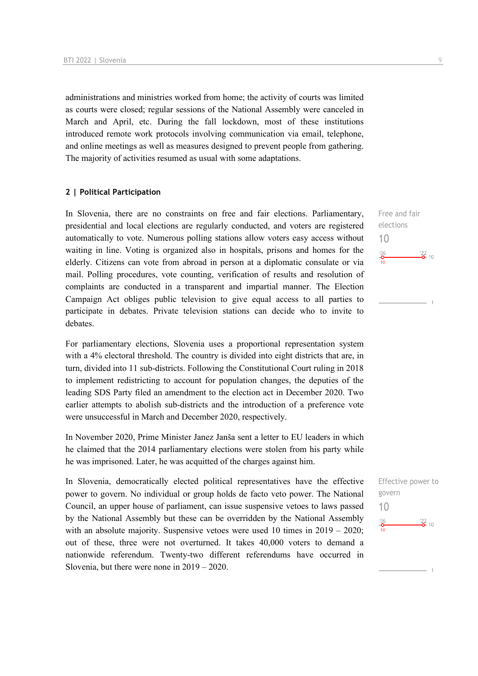administrations and ministries worked from home; the activity of courts was limited as courts were closed; regular sessions of the National Assembly were canceled in March and April, etc. During the fall lockdown, most of these institutions introduced remote work protocols involving communication via email, telephone, and online meetings as well as measures designed to prevent people from gathering. The majority of activities resumed as usual with some adaptations.

#### **2 | Political Participation**

In Slovenia, there are no constraints on free and fair elections. Parliamentary, presidential and local elections are regularly conducted, and voters are registered automatically to vote. Numerous polling stations allow voters easy access without waiting in line. Voting is organized also in hospitals, prisons and homes for the elderly. Citizens can vote from abroad in person at a diplomatic consulate or via mail. Polling procedures, vote counting, verification of results and resolution of complaints are conducted in a transparent and impartial manner. The Election Campaign Act obliges public television to give equal access to all parties to participate in debates. Private television stations can decide who to invite to debates.

For parliamentary elections, Slovenia uses a proportional representation system with a 4% electoral threshold. The country is divided into eight districts that are, in turn, divided into 11 sub-districts. Following the Constitutional Court ruling in 2018 to implement redistricting to account for population changes, the deputies of the leading SDS Party filed an amendment to the election act in December 2020. Two earlier attempts to abolish sub-districts and the introduction of a preference vote were unsuccessful in March and December 2020, respectively.

In November 2020, Prime Minister Janez Janša sent a letter to EU leaders in which he claimed that the 2014 parliamentary elections were stolen from his party while he was imprisoned. Later, he was acquitted of the charges against him.

In Slovenia, democratically elected political representatives have the effective power to govern. No individual or group holds de facto veto power. The National Council, an upper house of parliament, can issue suspensive vetoes to laws passed by the National Assembly but these can be overridden by the National Assembly with an absolute majority. Suspensive vetoes were used 10 times in  $2019 - 2020$ ; out of these, three were not overturned. It takes 40,000 voters to demand a nationwide referendum. Twenty-two different referendums have occurred in Slovenia, but there were none in 2019 – 2020.

Free and fair elections 10  $^{206}_{-0}$  $\frac{22}{2}$  10

 $\overline{1}$ 

Effective power to govern 10 $^{06}$  $\frac{22}{2}$  10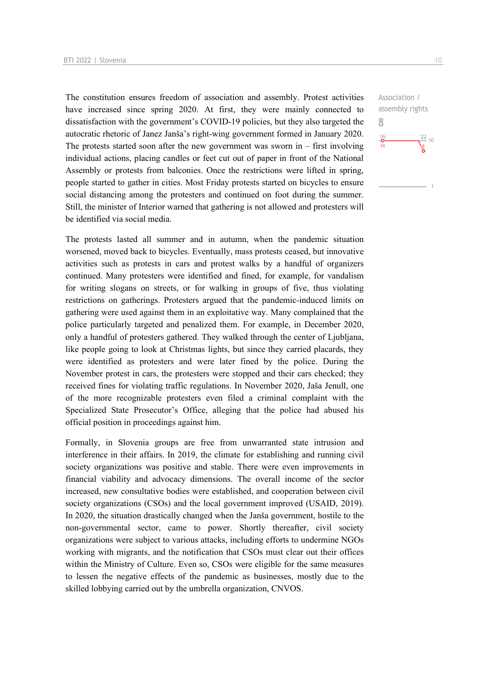The constitution ensures freedom of association and assembly. Protest activities have increased since spring 2020. At first, they were mainly connected to dissatisfaction with the government's COVID-19 policies, but they also targeted the autocratic rhetoric of Janez Janša's right-wing government formed in January 2020. The protests started soon after the new government was sworn in  $-$  first involving individual actions, placing candles or feet cut out of paper in front of the National Assembly or protests from balconies. Once the restrictions were lifted in spring, people started to gather in cities. Most Friday protests started on bicycles to ensure social distancing among the protesters and continued on foot during the summer. Still, the minister of Interior warned that gathering is not allowed and protesters will be identified via social media.

The protests lasted all summer and in autumn, when the pandemic situation worsened, moved back to bicycles. Eventually, mass protests ceased, but innovative activities such as protests in cars and protest walks by a handful of organizers continued. Many protesters were identified and fined, for example, for vandalism for writing slogans on streets, or for walking in groups of five, thus violating restrictions on gatherings. Protesters argued that the pandemic-induced limits on gathering were used against them in an exploitative way. Many complained that the police particularly targeted and penalized them. For example, in December 2020, only a handful of protesters gathered. They walked through the center of Ljubljana, like people going to look at Christmas lights, but since they carried placards, they were identified as protesters and were later fined by the police. During the November protest in cars, the protesters were stopped and their cars checked; they received fines for violating traffic regulations. In November 2020, Jaša Jenull, one of the more recognizable protesters even filed a criminal complaint with the Specialized State Prosecutor's Office, alleging that the police had abused his official position in proceedings against him.

Formally, in Slovenia groups are free from unwarranted state intrusion and interference in their affairs. In 2019, the climate for establishing and running civil society organizations was positive and stable. There were even improvements in financial viability and advocacy dimensions. The overall income of the sector increased, new consultative bodies were established, and cooperation between civil society organizations (CSOs) and the local government improved (USAID, 2019). In 2020, the situation drastically changed when the Janša government, hostile to the non-governmental sector, came to power. Shortly thereafter, civil society organizations were subject to various attacks, including efforts to undermine NGOs working with migrants, and the notification that CSOs must clear out their offices within the Ministry of Culture. Even so, CSOs were eligible for the same measures to lessen the negative effects of the pandemic as businesses, mostly due to the skilled lobbying carried out by the umbrella organization, CNVOS.

Association / assembly rights 8 $\frac{22}{10}$  10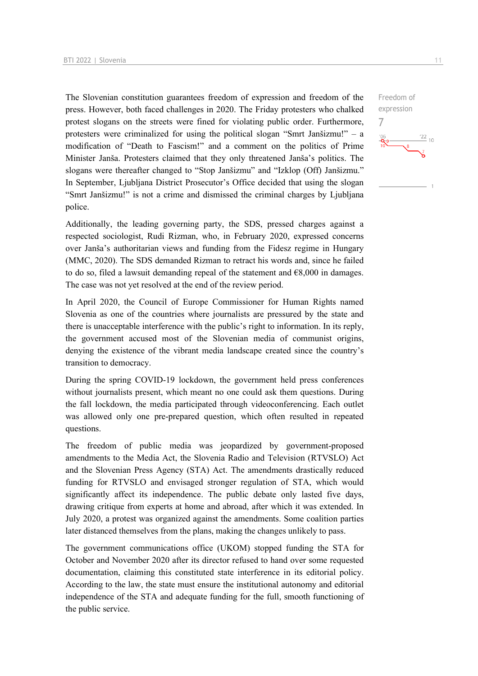The Slovenian constitution guarantees freedom of expression and freedom of the press. However, both faced challenges in 2020. The Friday protesters who chalked protest slogans on the streets were fined for violating public order. Furthermore, protesters were criminalized for using the political slogan "Smrt Janšizmu!" – a modification of "Death to Fascism!" and a comment on the politics of Prime Minister Janša. Protesters claimed that they only threatened Janša's politics. The slogans were thereafter changed to "Stop Janšizmu" and "Izklop (Off) Janšizmu." In September, Ljubljana District Prosecutor's Office decided that using the slogan "Smrt Janšizmu!" is not a crime and dismissed the criminal charges by Ljubljana police.

Additionally, the leading governing party, the SDS, pressed charges against a respected sociologist, Rudi Rizman, who, in February 2020, expressed concerns over Janša's authoritarian views and funding from the Fidesz regime in Hungary (MMC, 2020). The SDS demanded Rizman to retract his words and, since he failed to do so, filed a lawsuit demanding repeal of the statement and  $\epsilon$ 8,000 in damages. The case was not yet resolved at the end of the review period.

In April 2020, the Council of Europe Commissioner for Human Rights named Slovenia as one of the countries where journalists are pressured by the state and there is unacceptable interference with the public's right to information. In its reply, the government accused most of the Slovenian media of communist origins, denying the existence of the vibrant media landscape created since the country's transition to democracy.

During the spring COVID-19 lockdown, the government held press conferences without journalists present, which meant no one could ask them questions. During the fall lockdown, the media participated through videoconferencing. Each outlet was allowed only one pre-prepared question, which often resulted in repeated questions.

The freedom of public media was jeopardized by government-proposed amendments to the Media Act, the Slovenia Radio and Television (RTVSLO) Act and the Slovenian Press Agency (STA) Act. The amendments drastically reduced funding for RTVSLO and envisaged stronger regulation of STA, which would significantly affect its independence. The public debate only lasted five days, drawing critique from experts at home and abroad, after which it was extended. In July 2020, a protest was organized against the amendments. Some coalition parties later distanced themselves from the plans, making the changes unlikely to pass.

The government communications office (UKOM) stopped funding the STA for October and November 2020 after its director refused to hand over some requested documentation, claiming this constituted state interference in its editorial policy. According to the law, the state must ensure the institutional autonomy and editorial independence of the STA and adequate funding for the full, smooth functioning of the public service.

 $\frac{22}{10}$ 

Freedom of expression

7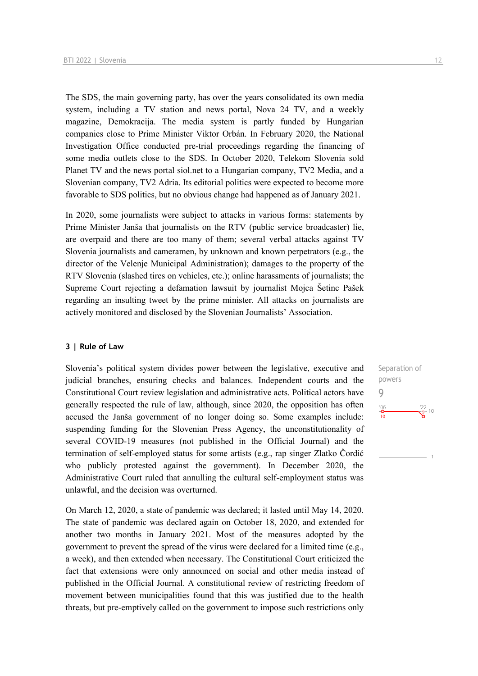The SDS, the main governing party, has over the years consolidated its own media system, including a TV station and news portal, Nova 24 TV, and a weekly magazine, Demokracija. The media system is partly funded by Hungarian companies close to Prime Minister Viktor Orbán. In February 2020, the National Investigation Office conducted pre-trial proceedings regarding the financing of some media outlets close to the SDS. In October 2020, Telekom Slovenia sold Planet TV and the news portal siol.net to a Hungarian company, TV2 Media, and a Slovenian company, TV2 Adria. Its editorial politics were expected to become more favorable to SDS politics, but no obvious change had happened as of January 2021.

In 2020, some journalists were subject to attacks in various forms: statements by Prime Minister Janša that journalists on the RTV (public service broadcaster) lie, are overpaid and there are too many of them; several verbal attacks against TV Slovenia journalists and cameramen, by unknown and known perpetrators (e.g., the director of the Velenje Municipal Administration); damages to the property of the RTV Slovenia (slashed tires on vehicles, etc.); online harassments of journalists; the Supreme Court rejecting a defamation lawsuit by journalist Mojca Šetinc Pašek regarding an insulting tweet by the prime minister. All attacks on journalists are actively monitored and disclosed by the Slovenian Journalists' Association.

#### **3 | Rule of Law**

Slovenia's political system divides power between the legislative, executive and judicial branches, ensuring checks and balances. Independent courts and the Constitutional Court review legislation and administrative acts. Political actors have generally respected the rule of law, although, since 2020, the opposition has often accused the Janša government of no longer doing so. Some examples include: suspending funding for the Slovenian Press Agency, the unconstitutionality of several COVID-19 measures (not published in the Official Journal) and the termination of self-employed status for some artists (e.g., rap singer Zlatko Čordić who publicly protested against the government). In December 2020, the Administrative Court ruled that annulling the cultural self-employment status was unlawful, and the decision was overturned.

On March 12, 2020, a state of pandemic was declared; it lasted until May 14, 2020. The state of pandemic was declared again on October 18, 2020, and extended for another two months in January 2021. Most of the measures adopted by the government to prevent the spread of the virus were declared for a limited time (e.g., a week), and then extended when necessary. The Constitutional Court criticized the fact that extensions were only announced on social and other media instead of published in the Official Journal. A constitutional review of restricting freedom of movement between municipalities found that this was justified due to the health threats, but pre-emptively called on the government to impose such restrictions only

Separation of powers 9 $\frac{106}{10}$  $\frac{22}{9}$ - 10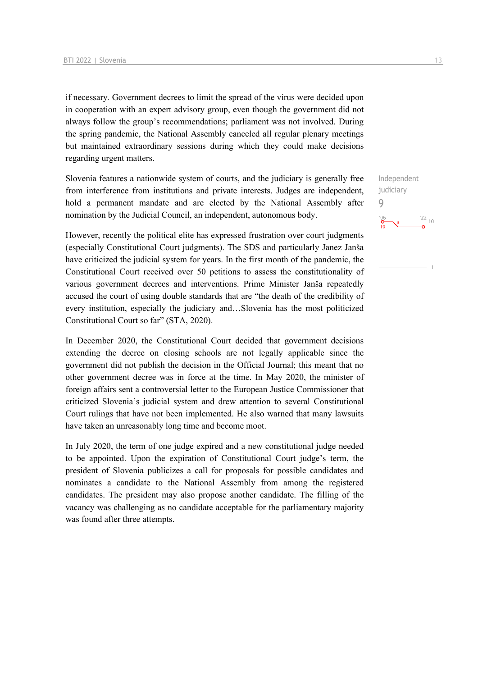if necessary. Government decrees to limit the spread of the virus were decided upon in cooperation with an expert advisory group, even though the government did not always follow the group's recommendations; parliament was not involved. During the spring pandemic, the National Assembly canceled all regular plenary meetings but maintained extraordinary sessions during which they could make decisions regarding urgent matters.

Slovenia features a nationwide system of courts, and the judiciary is generally free from interference from institutions and private interests. Judges are independent, hold a permanent mandate and are elected by the National Assembly after nomination by the Judicial Council, an independent, autonomous body.

However, recently the political elite has expressed frustration over court judgments (especially Constitutional Court judgments). The SDS and particularly Janez Janša have criticized the judicial system for years. In the first month of the pandemic, the Constitutional Court received over 50 petitions to assess the constitutionality of various government decrees and interventions. Prime Minister Janša repeatedly accused the court of using double standards that are "the death of the credibility of every institution, especially the judiciary and…Slovenia has the most politicized Constitutional Court so far" (STA, 2020).

In December 2020, the Constitutional Court decided that government decisions extending the decree on closing schools are not legally applicable since the government did not publish the decision in the Official Journal; this meant that no other government decree was in force at the time. In May 2020, the minister of foreign affairs sent a controversial letter to the European Justice Commissioner that criticized Slovenia's judicial system and drew attention to several Constitutional Court rulings that have not been implemented. He also warned that many lawsuits have taken an unreasonably long time and become moot.

In July 2020, the term of one judge expired and a new constitutional judge needed to be appointed. Upon the expiration of Constitutional Court judge's term, the president of Slovenia publicizes a call for proposals for possible candidates and nominates a candidate to the National Assembly from among the registered candidates. The president may also propose another candidate. The filling of the vacancy was challenging as no candidate acceptable for the parliamentary majority was found after three attempts.

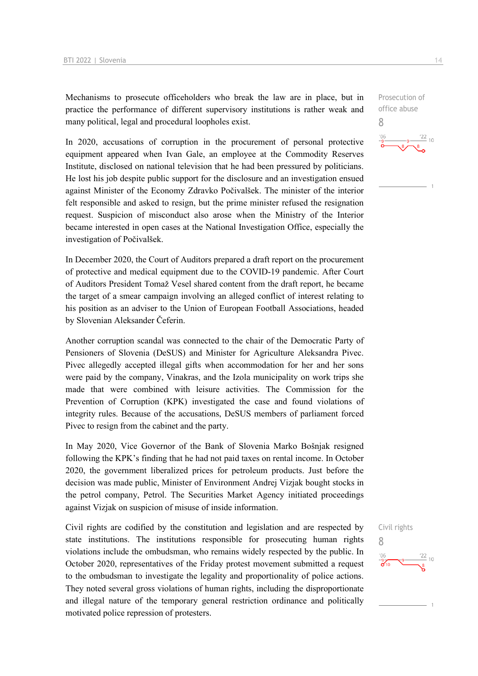Mechanisms to prosecute officeholders who break the law are in place, but in practice the performance of different supervisory institutions is rather weak and many political, legal and procedural loopholes exist.

In 2020, accusations of corruption in the procurement of personal protective equipment appeared when Ivan Gale, an employee at the Commodity Reserves Institute, disclosed on national television that he had been pressured by politicians. He lost his job despite public support for the disclosure and an investigation ensued against Minister of the Economy Zdravko Počivalšek. The minister of the interior felt responsible and asked to resign, but the prime minister refused the resignation request. Suspicion of misconduct also arose when the Ministry of the Interior became interested in open cases at the National Investigation Office, especially the investigation of Počivalšek.

In December 2020, the Court of Auditors prepared a draft report on the procurement of protective and medical equipment due to the COVID-19 pandemic. After Court of Auditors President Tomaž Vesel shared content from the draft report, he became the target of a smear campaign involving an alleged conflict of interest relating to his position as an adviser to the Union of European Football Associations, headed by Slovenian Aleksander Čeferin.

Another corruption scandal was connected to the chair of the Democratic Party of Pensioners of Slovenia (DeSUS) and Minister for Agriculture Aleksandra Pivec. Pivec allegedly accepted illegal gifts when accommodation for her and her sons were paid by the company, Vinakras, and the Izola municipality on work trips she made that were combined with leisure activities. The Commission for the Prevention of Corruption (KPK) investigated the case and found violations of integrity rules. Because of the accusations, DeSUS members of parliament forced Pivec to resign from the cabinet and the party.

In May 2020, Vice Governor of the Bank of Slovenia Marko Bošnjak resigned following the KPK's finding that he had not paid taxes on rental income. In October 2020, the government liberalized prices for petroleum products. Just before the decision was made public, Minister of Environment Andrej Vizjak bought stocks in the petrol company, Petrol. The Securities Market Agency initiated proceedings against Vizjak on suspicion of misuse of inside information.

Civil rights are codified by the constitution and legislation and are respected by state institutions. The institutions responsible for prosecuting human rights violations include the ombudsman, who remains widely respected by the public. In October 2020, representatives of the Friday protest movement submitted a request to the ombudsman to investigate the legality and proportionality of police actions. They noted several gross violations of human rights, including the disproportionate and illegal nature of the temporary general restriction ordinance and politically motivated police repression of protesters.

Prosecution of office abuse 8

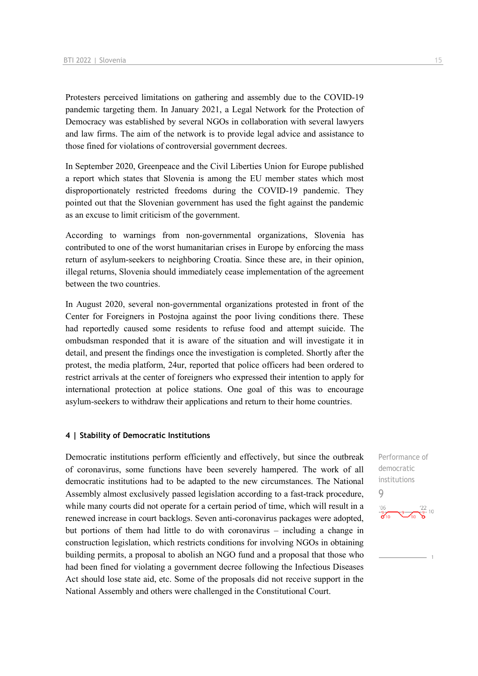Protesters perceived limitations on gathering and assembly due to the COVID-19 pandemic targeting them. In January 2021, a Legal Network for the Protection of Democracy was established by several NGOs in collaboration with several lawyers and law firms. The aim of the network is to provide legal advice and assistance to those fined for violations of controversial government decrees.

In September 2020, Greenpeace and the Civil Liberties Union for Europe published a report which states that Slovenia is among the EU member states which most disproportionately restricted freedoms during the COVID-19 pandemic. They pointed out that the Slovenian government has used the fight against the pandemic as an excuse to limit criticism of the government.

According to warnings from non-governmental organizations, Slovenia has contributed to one of the worst humanitarian crises in Europe by enforcing the mass return of asylum-seekers to neighboring Croatia. Since these are, in their opinion, illegal returns, Slovenia should immediately cease implementation of the agreement between the two countries.

In August 2020, several non-governmental organizations protested in front of the Center for Foreigners in Postojna against the poor living conditions there. These had reportedly caused some residents to refuse food and attempt suicide. The ombudsman responded that it is aware of the situation and will investigate it in detail, and present the findings once the investigation is completed. Shortly after the protest, the media platform, 24ur, reported that police officers had been ordered to restrict arrivals at the center of foreigners who expressed their intention to apply for international protection at police stations. One goal of this was to encourage asylum-seekers to withdraw their applications and return to their home countries.

#### **4 | Stability of Democratic Institutions**

Democratic institutions perform efficiently and effectively, but since the outbreak of coronavirus, some functions have been severely hampered. The work of all democratic institutions had to be adapted to the new circumstances. The National Assembly almost exclusively passed legislation according to a fast-track procedure, while many courts did not operate for a certain period of time, which will result in a renewed increase in court backlogs. Seven anti-coronavirus packages were adopted, but portions of them had little to do with coronavirus – including a change in construction legislation, which restricts conditions for involving NGOs in obtaining building permits, a proposal to abolish an NGO fund and a proposal that those who had been fined for violating a government decree following the Infectious Diseases Act should lose state aid, etc. Some of the proposals did not receive support in the National Assembly and others were challenged in the Constitutional Court.

Performance of democratic institutions 9 $\frac{106}{9}$   $\frac{9}{10}$   $\frac{22}{9}$  10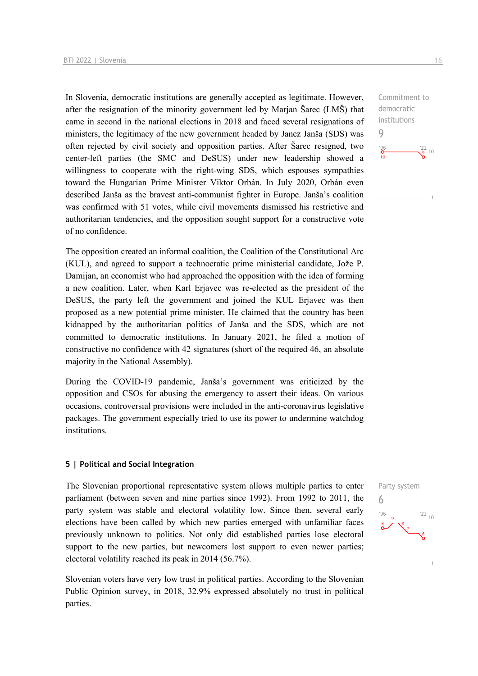In Slovenia, democratic institutions are generally accepted as legitimate. However, after the resignation of the minority government led by Marjan Šarec (LMŠ) that came in second in the national elections in 2018 and faced several resignations of ministers, the legitimacy of the new government headed by Janez Janša (SDS) was often rejected by civil society and opposition parties. After Šarec resigned, two center-left parties (the SMC and DeSUS) under new leadership showed a willingness to cooperate with the right-wing SDS, which espouses sympathies toward the Hungarian Prime Minister Viktor Orbán. In July 2020, Orbán even described Janša as the bravest anti-communist fighter in Europe. Janša's coalition was confirmed with 51 votes, while civil movements dismissed his restrictive and authoritarian tendencies, and the opposition sought support for a constructive vote of no confidence.

The opposition created an informal coalition, the Coalition of the Constitutional Arc (KUL), and agreed to support a technocratic prime ministerial candidate, Jože P. Damijan, an economist who had approached the opposition with the idea of forming a new coalition. Later, when Karl Erjavec was re-elected as the president of the DeSUS, the party left the government and joined the KUL Erjavec was then proposed as a new potential prime minister. He claimed that the country has been kidnapped by the authoritarian politics of Janša and the SDS, which are not committed to democratic institutions. In January 2021, he filed a motion of constructive no confidence with 42 signatures (short of the required 46, an absolute majority in the National Assembly).

During the COVID-19 pandemic, Janša's government was criticized by the opposition and CSOs for abusing the emergency to assert their ideas. On various occasions, controversial provisions were included in the anti-coronavirus legislative packages. The government especially tried to use its power to undermine watchdog institutions.

#### **5 | Political and Social Integration**

The Slovenian proportional representative system allows multiple parties to enter parliament (between seven and nine parties since 1992). From 1992 to 2011, the party system was stable and electoral volatility low. Since then, several early elections have been called by which new parties emerged with unfamiliar faces previously unknown to politics. Not only did established parties lose electoral support to the new parties, but newcomers lost support to even newer parties; electoral volatility reached its peak in 2014 (56.7%).

Slovenian voters have very low trust in political parties. According to the Slovenian Public Opinion survey, in 2018, 32.9% expressed absolutely no trust in political parties.

Party system 6 $\frac{22}{10}$ 

Commitment to democratic institutions 9  $\frac{106}{10}$  $\frac{22}{9}$  10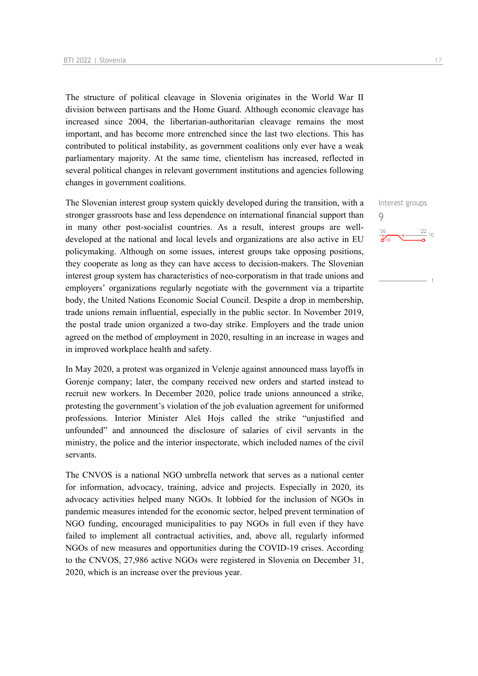The structure of political cleavage in Slovenia originates in the World War II division between partisans and the Home Guard. Although economic cleavage has increased since 2004, the libertarian-authoritarian cleavage remains the most important, and has become more entrenched since the last two elections. This has contributed to political instability, as government coalitions only ever have a weak parliamentary majority. At the same time, clientelism has increased, reflected in several political changes in relevant government institutions and agencies following changes in government coalitions.

The Slovenian interest group system quickly developed during the transition, with a stronger grassroots base and less dependence on international financial support than in many other post-socialist countries. As a result, interest groups are welldeveloped at the national and local levels and organizations are also active in EU policymaking. Although on some issues, interest groups take opposing positions, they cooperate as long as they can have access to decision-makers. The Slovenian interest group system has characteristics of neo-corporatism in that trade unions and employers' organizations regularly negotiate with the government via a tripartite body, the United Nations Economic Social Council. Despite a drop in membership, trade unions remain influential, especially in the public sector. In November 2019, the postal trade union organized a two-day strike. Employers and the trade union agreed on the method of employment in 2020, resulting in an increase in wages and in improved workplace health and safety.

In May 2020, a protest was organized in Velenje against announced mass layoffs in Gorenje company; later, the company received new orders and started instead to recruit new workers. In December 2020, police trade unions announced a strike, protesting the government's violation of the job evaluation agreement for uniformed professions. Interior Minister Aleš Hojs called the strike "unjustified and unfounded" and announced the disclosure of salaries of civil servants in the ministry, the police and the interior inspectorate, which included names of the civil servants.

The CNVOS is a national NGO umbrella network that serves as a national center for information, advocacy, training, advice and projects. Especially in 2020, its advocacy activities helped many NGOs. It lobbied for the inclusion of NGOs in pandemic measures intended for the economic sector, helped prevent termination of NGO funding, encouraged municipalities to pay NGOs in full even if they have failed to implement all contractual activities, and, above all, regularly informed NGOs of new measures and opportunities during the COVID-19 crises. According to the CNVOS, 27,986 active NGOs were registered in Slovenia on December 31, 2020, which is an increase over the previous year.

Interest groups 9 $\frac{106}{26}$  $S^9$   $\frac{22}{10}$  10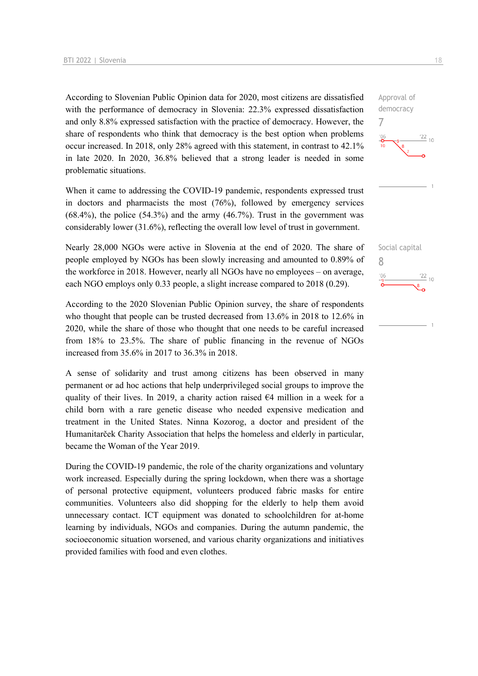According to Slovenian Public Opinion data for 2020, most citizens are dissatisfied with the performance of democracy in Slovenia: 22.3% expressed dissatisfaction and only 8.8% expressed satisfaction with the practice of democracy. However, the share of respondents who think that democracy is the best option when problems occur increased. In 2018, only 28% agreed with this statement, in contrast to 42.1% in late 2020. In 2020, 36.8% believed that a strong leader is needed in some problematic situations.

When it came to addressing the COVID-19 pandemic, respondents expressed trust in doctors and pharmacists the most (76%), followed by emergency services  $(68.4\%)$ , the police  $(54.3\%)$  and the army  $(46.7\%)$ . Trust in the government was considerably lower (31.6%), reflecting the overall low level of trust in government.

Nearly 28,000 NGOs were active in Slovenia at the end of 2020. The share of people employed by NGOs has been slowly increasing and amounted to 0.89% of the workforce in 2018. However, nearly all NGOs have no employees – on average, each NGO employs only 0.33 people, a slight increase compared to 2018 (0.29).

According to the 2020 Slovenian Public Opinion survey, the share of respondents who thought that people can be trusted decreased from 13.6% in 2018 to 12.6% in 2020, while the share of those who thought that one needs to be careful increased from 18% to 23.5%. The share of public financing in the revenue of NGOs increased from 35.6% in 2017 to 36.3% in 2018.

A sense of solidarity and trust among citizens has been observed in many permanent or ad hoc actions that help underprivileged social groups to improve the quality of their lives. In 2019, a charity action raised  $64$  million in a week for a child born with a rare genetic disease who needed expensive medication and treatment in the United States. Ninna Kozorog, a doctor and president of the Humanitarček Charity Association that helps the homeless and elderly in particular, became the Woman of the Year 2019.

During the COVID-19 pandemic, the role of the charity organizations and voluntary work increased. Especially during the spring lockdown, when there was a shortage of personal protective equipment, volunteers produced fabric masks for entire communities. Volunteers also did shopping for the elderly to help them avoid unnecessary contact. ICT equipment was donated to schoolchildren for at-home learning by individuals, NGOs and companies. During the autumn pandemic, the socioeconomic situation worsened, and various charity organizations and initiatives provided families with food and even clothes.



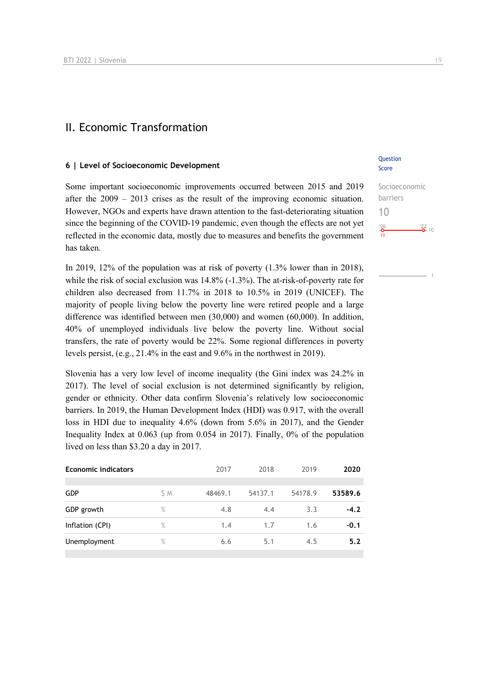## II. Economic Transformation

#### **6 | Level of Socioeconomic Development**

Some important socioeconomic improvements occurred between 2015 and 2019 after the 2009 – 2013 crises as the result of the improving economic situation. However, NGOs and experts have drawn attention to the fast-deteriorating situation since the beginning of the COVID-19 pandemic, even though the effects are not yet reflected in the economic data, mostly due to measures and benefits the government has taken.

In 2019, 12% of the population was at risk of poverty (1.3% lower than in 2018), while the risk of social exclusion was 14.8% (-1.3%). The at-risk-of-poverty rate for children also decreased from 11.7% in 2018 to 10.5% in 2019 (UNICEF). The majority of people living below the poverty line were retired people and a large difference was identified between men (30,000) and women (60,000). In addition, 40% of unemployed individuals live below the poverty line. Without social transfers, the rate of poverty would be 22%. Some regional differences in poverty levels persist, (e.g., 21.4% in the east and 9.6% in the northwest in 2019).

Slovenia has a very low level of income inequality (the Gini index was 24.2% in 2017). The level of social exclusion is not determined significantly by religion, gender or ethnicity. Other data confirm Slovenia's relatively low socioeconomic barriers. In 2019, the Human Development Index (HDI) was 0.917, with the overall loss in HDI due to inequality 4.6% (down from 5.6% in 2017), and the Gender Inequality Index at 0.063 (up from 0.054 in 2017). Finally, 0% of the population lived on less than \$3.20 a day in 2017.

| <b>Economic indicators</b> |      | 2017    | 2018    | 2019    | 2020    |  |
|----------------------------|------|---------|---------|---------|---------|--|
|                            |      |         |         |         |         |  |
| <b>GDP</b>                 | S M  | 48469.1 | 54137.1 | 54178.9 | 53589.6 |  |
| GDP growth                 | $\%$ | 4.8     | 4.4     | 3.3     | $-4.2$  |  |
| Inflation (CPI)            | $\%$ | 1.4     | 1.7     | 1.6     | $-0.1$  |  |
| Unemployment               | $\%$ | 6.6     | 5.1     | 4.5     | 5.2     |  |
|                            |      |         |         |         |         |  |

## **Ouestion** Score

Socioeconomic barriers 10  $\frac{106}{0}$  $\frac{22}{2}$  10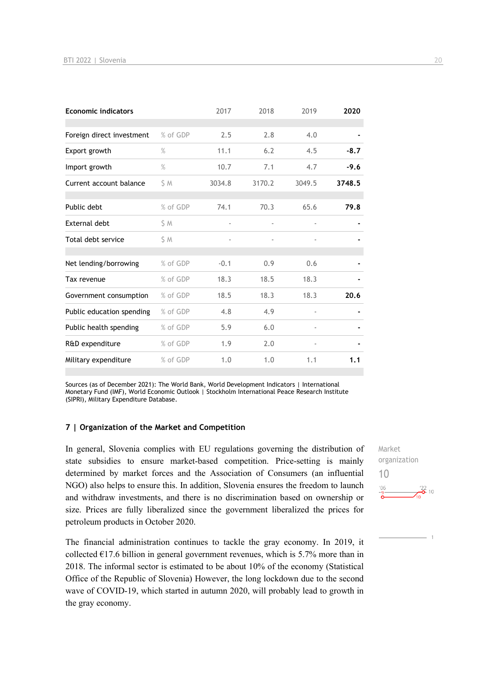| <b>Economic indicators</b> |          | 2017   | 2018   | 2019                     | 2020   |
|----------------------------|----------|--------|--------|--------------------------|--------|
|                            |          |        |        |                          |        |
| Foreign direct investment  | % of GDP | 2.5    | 2.8    | 4.0                      |        |
| Export growth              | $\%$     | 11.1   | 6.2    | 4.5                      | $-8.7$ |
| Import growth              | %        | 10.7   | 7.1    | 4.7                      | $-9.6$ |
| Current account balance    | \$ M     | 3034.8 | 3170.2 | 3049.5                   | 3748.5 |
|                            |          |        |        |                          |        |
| Public debt                | % of GDP | 74.1   | 70.3   | 65.6                     | 79.8   |
| <b>External debt</b>       | \$ M     |        |        |                          |        |
| Total debt service         | \$ M     |        |        |                          |        |
| Net lending/borrowing      | % of GDP | $-0.1$ | 0.9    | 0.6                      |        |
| Tax revenue                | % of GDP | 18.3   | 18.5   | 18.3                     |        |
| Government consumption     | % of GDP | 18.5   | 18.3   | 18.3                     | 20.6   |
| Public education spending  | % of GDP | 4.8    | 4.9    | $\overline{\phantom{a}}$ |        |
| Public health spending     | % of GDP | 5.9    | 6.0    |                          |        |
| R&D expenditure            | % of GDP | 1.9    | 2.0    | $\overline{\phantom{a}}$ |        |
| Military expenditure       | % of GDP | 1.0    | 1.0    | 1.1                      | 1.1    |

Sources (as of December 2021): The World Bank, World Development Indicators | International Monetary Fund (IMF), World Economic Outlook | Stockholm International Peace Research Institute (SIPRI), Military Expenditure Database.

#### **7 | Organization of the Market and Competition**

In general, Slovenia complies with EU regulations governing the distribution of state subsidies to ensure market-based competition. Price-setting is mainly determined by market forces and the Association of Consumers (an influential NGO) also helps to ensure this. In addition, Slovenia ensures the freedom to launch and withdraw investments, and there is no discrimination based on ownership or size. Prices are fully liberalized since the government liberalized the prices for petroleum products in October 2020.

The financial administration continues to tackle the gray economy. In 2019, it collected  $E17.6$  billion in general government revenues, which is 5.7% more than in 2018. The informal sector is estimated to be about 10% of the economy (Statistical Office of the Republic of Slovenia) However, the long lockdown due to the second wave of COVID-19, which started in autumn 2020, will probably lead to growth in the gray economy.

Market organization 10 $\frac{22}{2}$  10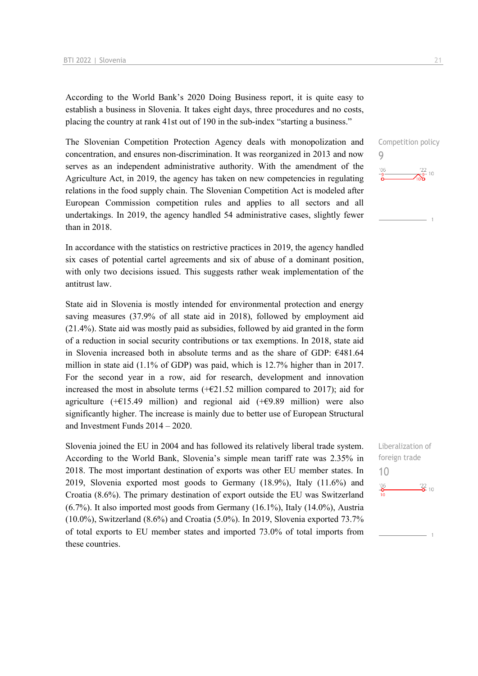According to the World Bank's 2020 Doing Business report, it is quite easy to establish a business in Slovenia. It takes eight days, three procedures and no costs, placing the country at rank 41st out of 190 in the sub-index "starting a business."

The Slovenian Competition Protection Agency deals with monopolization and concentration, and ensures non-discrimination. It was reorganized in 2013 and now serves as an independent administrative authority. With the amendment of the Agriculture Act, in 2019, the agency has taken on new competencies in regulating relations in the food supply chain. The Slovenian Competition Act is modeled after European Commission competition rules and applies to all sectors and all undertakings. In 2019, the agency handled 54 administrative cases, slightly fewer than in 2018.

In accordance with the statistics on restrictive practices in 2019, the agency handled six cases of potential cartel agreements and six of abuse of a dominant position, with only two decisions issued. This suggests rather weak implementation of the antitrust law.

State aid in Slovenia is mostly intended for environmental protection and energy saving measures (37.9% of all state aid in 2018), followed by employment aid (21.4%). State aid was mostly paid as subsidies, followed by aid granted in the form of a reduction in social security contributions or tax exemptions. In 2018, state aid in Slovenia increased both in absolute terms and as the share of GDP: €481.64 million in state aid (1.1% of GDP) was paid, which is 12.7% higher than in 2017. For the second year in a row, aid for research, development and innovation increased the most in absolute terms  $(+621.52 \text{ million compared to } 2017)$ ; aid for agriculture ( $+ \in 15.49$  million) and regional aid ( $+ \in 9.89$  million) were also significantly higher. The increase is mainly due to better use of European Structural and Investment Funds 2014 – 2020.

Slovenia joined the EU in 2004 and has followed its relatively liberal trade system. According to the World Bank, Slovenia's simple mean tariff rate was 2.35% in 2018. The most important destination of exports was other EU member states. In 2019, Slovenia exported most goods to Germany (18.9%), Italy (11.6%) and Croatia (8.6%). The primary destination of export outside the EU was Switzerland (6.7%). It also imported most goods from Germany (16.1%), Italy (14.0%), Austria (10.0%), Switzerland (8.6%) and Croatia (5.0%). In 2019, Slovenia exported 73.7% of total exports to EU member states and imported 73.0% of total imports from these countries.

Competition policy 9  $^{106}$  $\frac{22}{5}$ - 10

Liberalization of foreign trade 10 $\frac{106}{2}$  $\frac{22}{2}$  10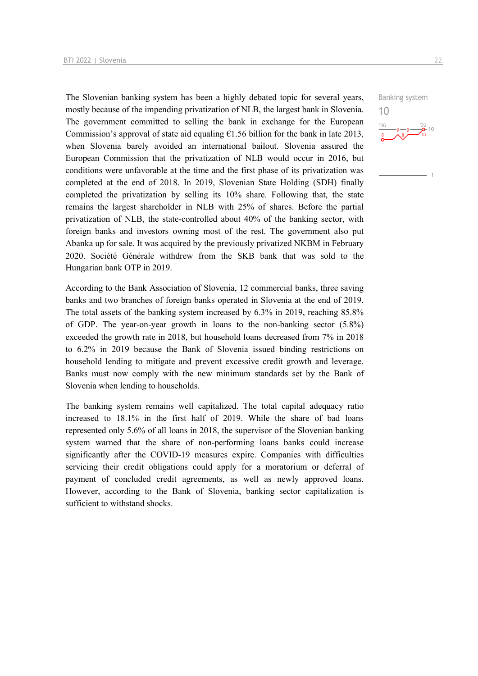The Slovenian banking system has been a highly debated topic for several years, mostly because of the impending privatization of NLB, the largest bank in Slovenia. The government committed to selling the bank in exchange for the European Commission's approval of state aid equaling  $\epsilon$ 1.56 billion for the bank in late 2013, when Slovenia barely avoided an international bailout. Slovenia assured the European Commission that the privatization of NLB would occur in 2016, but conditions were unfavorable at the time and the first phase of its privatization was completed at the end of 2018. In 2019, Slovenian State Holding (SDH) finally completed the privatization by selling its 10% share. Following that, the state remains the largest shareholder in NLB with 25% of shares. Before the partial privatization of NLB, the state-controlled about 40% of the banking sector, with foreign banks and investors owning most of the rest. The government also put Abanka up for sale. It was acquired by the previously privatized NKBM in February 2020. Société Générale withdrew from the SKB bank that was sold to the Hungarian bank OTP in 2019.

According to the Bank Association of Slovenia, 12 commercial banks, three saving banks and two branches of foreign banks operated in Slovenia at the end of 2019. The total assets of the banking system increased by 6.3% in 2019, reaching 85.8% of GDP. The year-on-year growth in loans to the non-banking sector (5.8%) exceeded the growth rate in 2018, but household loans decreased from 7% in 2018 to 6.2% in 2019 because the Bank of Slovenia issued binding restrictions on household lending to mitigate and prevent excessive credit growth and leverage. Banks must now comply with the new minimum standards set by the Bank of Slovenia when lending to households.

The banking system remains well capitalized. The total capital adequacy ratio increased to 18.1% in the first half of 2019. While the share of bad loans represented only 5.6% of all loans in 2018, the supervisor of the Slovenian banking system warned that the share of non-performing loans banks could increase significantly after the COVID-19 measures expire. Companies with difficulties servicing their credit obligations could apply for a moratorium or deferral of payment of concluded credit agreements, as well as newly approved loans. However, according to the Bank of Slovenia, banking sector capitalization is sufficient to withstand shocks.

Banking system

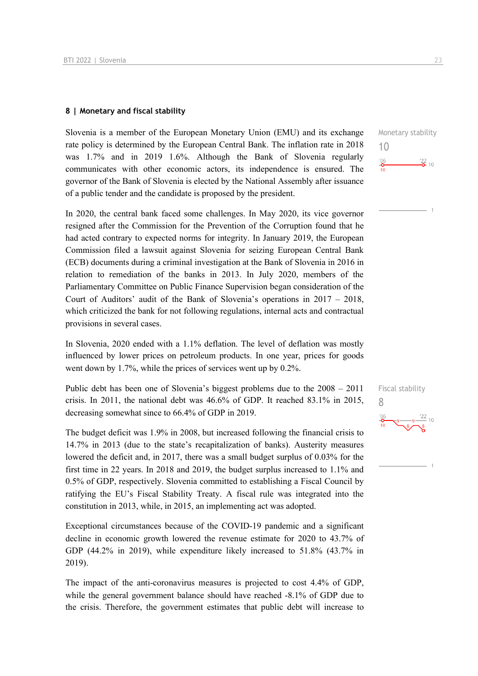#### **8 | Monetary and fiscal stability**

Slovenia is a member of the European Monetary Union (EMU) and its exchange rate policy is determined by the European Central Bank. The inflation rate in 2018 was 1.7% and in 2019 1.6%. Although the Bank of Slovenia regularly communicates with other economic actors, its independence is ensured. The governor of the Bank of Slovenia is elected by the National Assembly after issuance of a public tender and the candidate is proposed by the president.

In 2020, the central bank faced some challenges. In May 2020, its vice governor resigned after the Commission for the Prevention of the Corruption found that he had acted contrary to expected norms for integrity. In January 2019, the European Commission filed a lawsuit against Slovenia for seizing European Central Bank (ECB) documents during a criminal investigation at the Bank of Slovenia in 2016 in relation to remediation of the banks in 2013. In July 2020, members of the Parliamentary Committee on Public Finance Supervision began consideration of the Court of Auditors' audit of the Bank of Slovenia's operations in 2017 – 2018, which criticized the bank for not following regulations, internal acts and contractual provisions in several cases.

In Slovenia, 2020 ended with a 1.1% deflation. The level of deflation was mostly influenced by lower prices on petroleum products. In one year, prices for goods went down by 1.7%, while the prices of services went up by 0.2%.

Public debt has been one of Slovenia's biggest problems due to the 2008 – 2011 crisis. In 2011, the national debt was 46.6% of GDP. It reached 83.1% in 2015, decreasing somewhat since to 66.4% of GDP in 2019.

The budget deficit was 1.9% in 2008, but increased following the financial crisis to 14.7% in 2013 (due to the state's recapitalization of banks). Austerity measures lowered the deficit and, in 2017, there was a small budget surplus of 0.03% for the first time in 22 years. In 2018 and 2019, the budget surplus increased to 1.1% and 0.5% of GDP, respectively. Slovenia committed to establishing a Fiscal Council by ratifying the EU's Fiscal Stability Treaty. A fiscal rule was integrated into the constitution in 2013, while, in 2015, an implementing act was adopted.

Exceptional circumstances because of the COVID-19 pandemic and a significant decline in economic growth lowered the revenue estimate for 2020 to 43.7% of GDP (44.2% in 2019), while expenditure likely increased to 51.8% (43.7% in 2019).

The impact of the anti-coronavirus measures is projected to cost 4.4% of GDP, while the general government balance should have reached -8.1% of GDP due to the crisis. Therefore, the government estimates that public debt will increase to Monetary stability 10  $\frac{106}{2}$  $\frac{22}{2}$  10

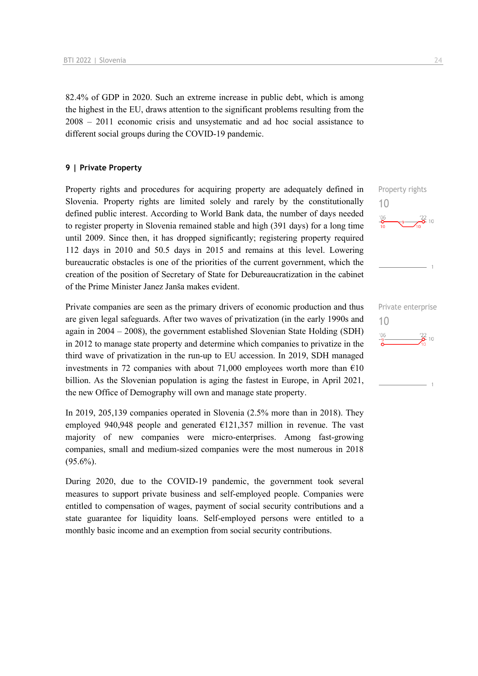82.4% of GDP in 2020. Such an extreme increase in public debt, which is among the highest in the EU, draws attention to the significant problems resulting from the 2008 – 2011 economic crisis and unsystematic and ad hoc social assistance to different social groups during the COVID-19 pandemic.

#### **9 | Private Property**

Property rights and procedures for acquiring property are adequately defined in Slovenia. Property rights are limited solely and rarely by the constitutionally defined public interest. According to World Bank data, the number of days needed to register property in Slovenia remained stable and high (391 days) for a long time until 2009. Since then, it has dropped significantly; registering property required 112 days in 2010 and 50.5 days in 2015 and remains at this level. Lowering bureaucratic obstacles is one of the priorities of the current government, which the creation of the position of Secretary of State for Debureaucratization in the cabinet of the Prime Minister Janez Janša makes evident.

Private companies are seen as the primary drivers of economic production and thus are given legal safeguards. After two waves of privatization (in the early 1990s and again in 2004 – 2008), the government established Slovenian State Holding (SDH) in 2012 to manage state property and determine which companies to privatize in the third wave of privatization in the run-up to EU accession. In 2019, SDH managed investments in 72 companies with about 71,000 employees worth more than  $\epsilon$ 10 billion. As the Slovenian population is aging the fastest in Europe, in April 2021, the new Office of Demography will own and manage state property.

In 2019, 205,139 companies operated in Slovenia (2.5% more than in 2018). They employed 940,948 people and generated  $E121,357$  million in revenue. The vast majority of new companies were micro-enterprises. Among fast-growing companies, small and medium-sized companies were the most numerous in 2018  $(95.6\%)$ .

During 2020, due to the COVID-19 pandemic, the government took several measures to support private business and self-employed people. Companies were entitled to compensation of wages, payment of social security contributions and a state guarantee for liquidity loans. Self-employed persons were entitled to a monthly basic income and an exemption from social security contributions.



10

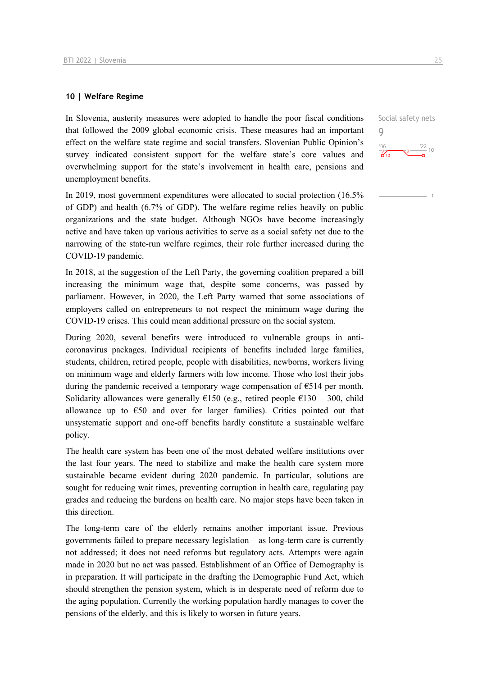#### **10 | Welfare Regime**

In Slovenia, austerity measures were adopted to handle the poor fiscal conditions that followed the 2009 global economic crisis. These measures had an important effect on the welfare state regime and social transfers. Slovenian Public Opinion's survey indicated consistent support for the welfare state's core values and overwhelming support for the state's involvement in health care, pensions and unemployment benefits.

In 2019, most government expenditures were allocated to social protection (16.5% of GDP) and health (6.7% of GDP). The welfare regime relies heavily on public organizations and the state budget. Although NGOs have become increasingly active and have taken up various activities to serve as a social safety net due to the narrowing of the state-run welfare regimes, their role further increased during the COVID-19 pandemic.

In 2018, at the suggestion of the Left Party, the governing coalition prepared a bill increasing the minimum wage that, despite some concerns, was passed by parliament. However, in 2020, the Left Party warned that some associations of employers called on entrepreneurs to not respect the minimum wage during the COVID-19 crises. This could mean additional pressure on the social system.

During 2020, several benefits were introduced to vulnerable groups in anticoronavirus packages. Individual recipients of benefits included large families, students, children, retired people, people with disabilities, newborns, workers living on minimum wage and elderly farmers with low income. Those who lost their jobs during the pandemic received a temporary wage compensation of  $\epsilon$ 514 per month. Solidarity allowances were generally  $E150$  (e.g., retired people  $E130 - 300$ , child allowance up to  $\epsilon$ 50 and over for larger families). Critics pointed out that unsystematic support and one-off benefits hardly constitute a sustainable welfare policy.

The health care system has been one of the most debated welfare institutions over the last four years. The need to stabilize and make the health care system more sustainable became evident during 2020 pandemic. In particular, solutions are sought for reducing wait times, preventing corruption in health care, regulating pay grades and reducing the burdens on health care. No major steps have been taken in this direction.

The long-term care of the elderly remains another important issue. Previous governments failed to prepare necessary legislation – as long-term care is currently not addressed; it does not need reforms but regulatory acts. Attempts were again made in 2020 but no act was passed. Establishment of an Office of Demography is in preparation. It will participate in the drafting the Demographic Fund Act, which should strengthen the pension system, which is in desperate need of reform due to the aging population. Currently the working population hardly manages to cover the pensions of the elderly, and this is likely to worsen in future years.

Social safety nets 9 $106$  $\frac{22}{10}$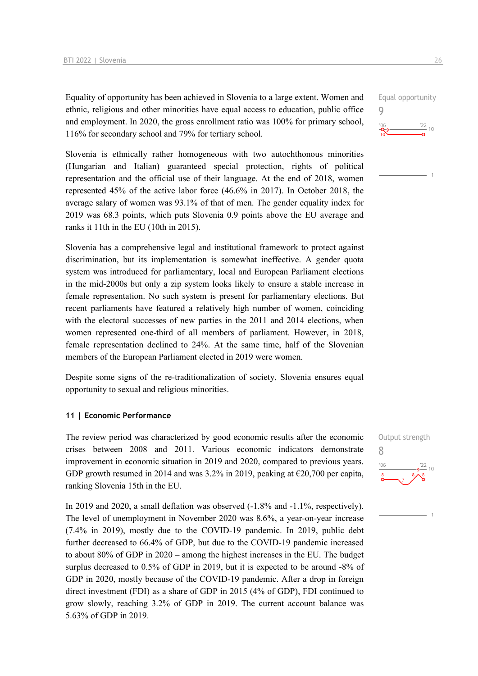Equality of opportunity has been achieved in Slovenia to a large extent. Women and ethnic, religious and other minorities have equal access to education, public office and employment. In 2020, the gross enrollment ratio was 100% for primary school, 116% for secondary school and 79% for tertiary school.

Slovenia is ethnically rather homogeneous with two autochthonous minorities (Hungarian and Italian) guaranteed special protection, rights of political representation and the official use of their language. At the end of 2018, women represented 45% of the active labor force (46.6% in 2017). In October 2018, the average salary of women was 93.1% of that of men. The gender equality index for 2019 was 68.3 points, which puts Slovenia 0.9 points above the EU average and ranks it 11th in the EU (10th in 2015).

Slovenia has a comprehensive legal and institutional framework to protect against discrimination, but its implementation is somewhat ineffective. A gender quota system was introduced for parliamentary, local and European Parliament elections in the mid-2000s but only a zip system looks likely to ensure a stable increase in female representation. No such system is present for parliamentary elections. But recent parliaments have featured a relatively high number of women, coinciding with the electoral successes of new parties in the 2011 and 2014 elections, when women represented one-third of all members of parliament. However, in 2018, female representation declined to 24%. At the same time, half of the Slovenian members of the European Parliament elected in 2019 were women.

Despite some signs of the re-traditionalization of society, Slovenia ensures equal opportunity to sexual and religious minorities.

#### **11 | Economic Performance**

The review period was characterized by good economic results after the economic crises between 2008 and 2011. Various economic indicators demonstrate improvement in economic situation in 2019 and 2020, compared to previous years. GDP growth resumed in 2014 and was 3.2% in 2019, peaking at €20,700 per capita, ranking Slovenia 15th in the EU.

In 2019 and 2020, a small deflation was observed (-1.8% and -1.1%, respectively). The level of unemployment in November 2020 was 8.6%, a year-on-year increase (7.4% in 2019), mostly due to the COVID-19 pandemic. In 2019, public debt further decreased to 66.4% of GDP, but due to the COVID-19 pandemic increased to about 80% of GDP in 2020 – among the highest increases in the EU. The budget surplus decreased to 0.5% of GDP in 2019, but it is expected to be around -8% of GDP in 2020, mostly because of the COVID-19 pandemic. After a drop in foreign direct investment (FDI) as a share of GDP in 2015 (4% of GDP), FDI continued to grow slowly, reaching 3.2% of GDP in 2019. The current account balance was 5.63% of GDP in 2019.



9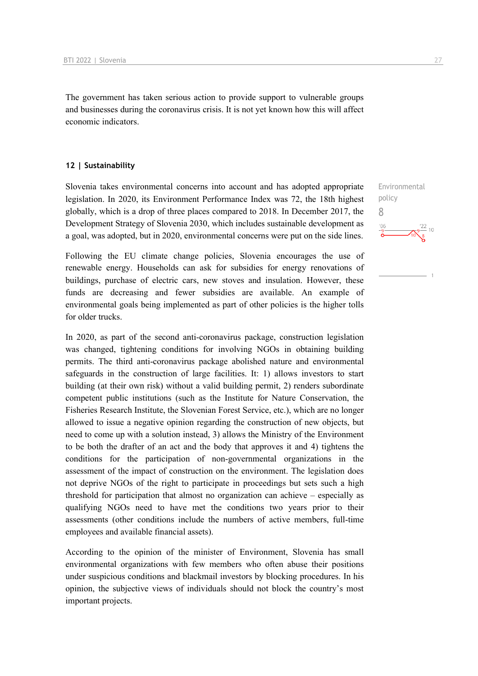The government has taken serious action to provide support to vulnerable groups and businesses during the coronavirus crisis. It is not yet known how this will affect economic indicators.

#### **12 | Sustainability**

Slovenia takes environmental concerns into account and has adopted appropriate legislation. In 2020, its Environment Performance Index was 72, the 18th highest globally, which is a drop of three places compared to 2018. In December 2017, the Development Strategy of Slovenia 2030, which includes sustainable development as a goal, was adopted, but in 2020, environmental concerns were put on the side lines.

Following the EU climate change policies, Slovenia encourages the use of renewable energy. Households can ask for subsidies for energy renovations of buildings, purchase of electric cars, new stoves and insulation. However, these funds are decreasing and fewer subsidies are available. An example of environmental goals being implemented as part of other policies is the higher tolls for older trucks.

In 2020, as part of the second anti-coronavirus package, construction legislation was changed, tightening conditions for involving NGOs in obtaining building permits. The third anti-coronavirus package abolished nature and environmental safeguards in the construction of large facilities. It: 1) allows investors to start building (at their own risk) without a valid building permit, 2) renders subordinate competent public institutions (such as the Institute for Nature Conservation, the Fisheries Research Institute, the Slovenian Forest Service, etc.), which are no longer allowed to issue a negative opinion regarding the construction of new objects, but need to come up with a solution instead, 3) allows the Ministry of the Environment to be both the drafter of an act and the body that approves it and 4) tightens the conditions for the participation of non-governmental organizations in the assessment of the impact of construction on the environment. The legislation does not deprive NGOs of the right to participate in proceedings but sets such a high threshold for participation that almost no organization can achieve – especially as qualifying NGOs need to have met the conditions two years prior to their assessments (other conditions include the numbers of active members, full-time employees and available financial assets).

According to the opinion of the minister of Environment, Slovenia has small environmental organizations with few members who often abuse their positions under suspicious conditions and blackmail investors by blocking procedures. In his opinion, the subjective views of individuals should not block the country's most important projects.

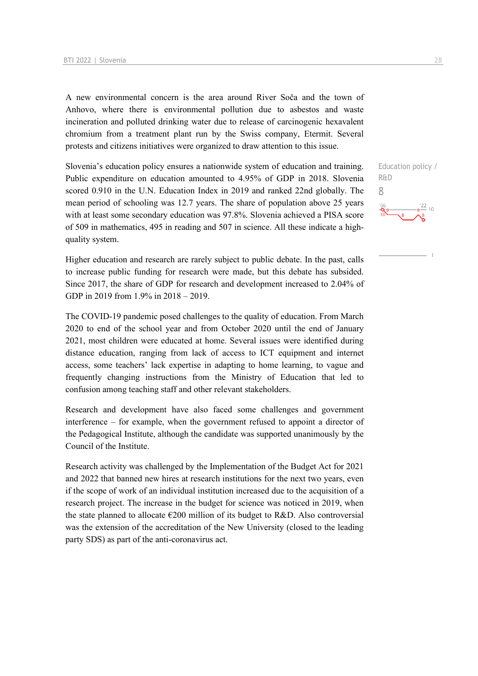A new environmental concern is the area around River Soča and the town of Anhovo, where there is environmental pollution due to asbestos and waste incineration and polluted drinking water due to release of carcinogenic hexavalent chromium from a treatment plant run by the Swiss company, Etermit. Several protests and citizens initiatives were organized to draw attention to this issue.

Slovenia's education policy ensures a nationwide system of education and training. Public expenditure on education amounted to 4.95% of GDP in 2018. Slovenia scored 0.910 in the U.N. Education Index in 2019 and ranked 22nd globally. The mean period of schooling was 12.7 years. The share of population above 25 years with at least some secondary education was 97.8%. Slovenia achieved a PISA score of 509 in mathematics, 495 in reading and 507 in science. All these indicate a highquality system.

Higher education and research are rarely subject to public debate. In the past, calls to increase public funding for research were made, but this debate has subsided. Since 2017, the share of GDP for research and development increased to 2.04% of GDP in 2019 from 1.9% in 2018 – 2019.

The COVID-19 pandemic posed challenges to the quality of education. From March 2020 to end of the school year and from October 2020 until the end of January 2021, most children were educated at home. Several issues were identified during distance education, ranging from lack of access to ICT equipment and internet access, some teachers' lack expertise in adapting to home learning, to vague and frequently changing instructions from the Ministry of Education that led to confusion among teaching staff and other relevant stakeholders.

Research and development have also faced some challenges and government interference – for example, when the government refused to appoint a director of the Pedagogical Institute, although the candidate was supported unanimously by the Council of the Institute.

Research activity was challenged by the Implementation of the Budget Act for 2021 and 2022 that banned new hires at research institutions for the next two years, even if the scope of work of an individual institution increased due to the acquisition of a research project. The increase in the budget for science was noticed in 2019, when the state planned to allocate  $\epsilon$ 200 million of its budget to R&D. Also controversial was the extension of the accreditation of the New University (closed to the leading party SDS) as part of the anti-coronavirus act.

Education policy / R&D 8 $\frac{22}{10}$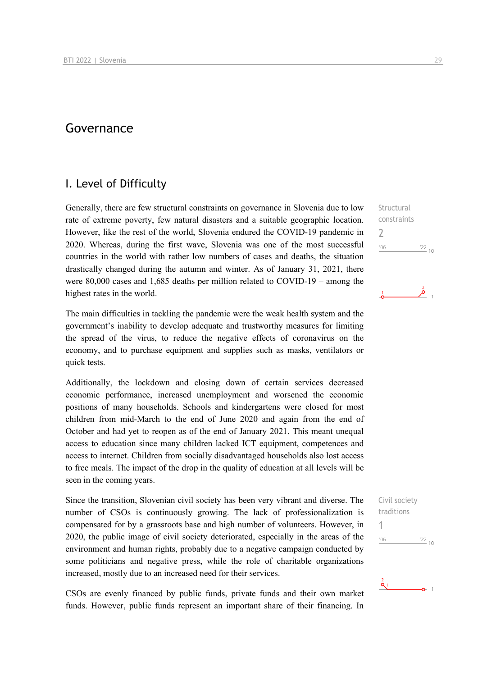## Governance

## I. Level of Difficulty

Generally, there are few structural constraints on governance in Slovenia due to low rate of extreme poverty, few natural disasters and a suitable geographic location. However, like the rest of the world, Slovenia endured the COVID-19 pandemic in 2020. Whereas, during the first wave, Slovenia was one of the most successful countries in the world with rather low numbers of cases and deaths, the situation drastically changed during the autumn and winter. As of January 31, 2021, there were 80,000 cases and 1,685 deaths per million related to COVID-19 – among the highest rates in the world.

The main difficulties in tackling the pandemic were the weak health system and the government's inability to develop adequate and trustworthy measures for limiting the spread of the virus, to reduce the negative effects of coronavirus on the economy, and to purchase equipment and supplies such as masks, ventilators or quick tests.

Additionally, the lockdown and closing down of certain services decreased economic performance, increased unemployment and worsened the economic positions of many households. Schools and kindergartens were closed for most children from mid-March to the end of June 2020 and again from the end of October and had yet to reopen as of the end of January 2021. This meant unequal access to education since many children lacked ICT equipment, competences and access to internet. Children from socially disadvantaged households also lost access to free meals. The impact of the drop in the quality of education at all levels will be seen in the coming years.

Since the transition, Slovenian civil society has been very vibrant and diverse. The number of CSOs is continuously growing. The lack of professionalization is compensated for by a grassroots base and high number of volunteers. However, in 2020, the public image of civil society deteriorated, especially in the areas of the environment and human rights, probably due to a negative campaign conducted by some politicians and negative press, while the role of charitable organizations increased, mostly due to an increased need for their services.

CSOs are evenly financed by public funds, private funds and their own market funds. However, public funds represent an important share of their financing. In

**Structural** constraints 2  $106$  $\frac{22}{10}$ 

ِ مَر



 $\mathbf{a}_1$  and  $\mathbf{a}_2$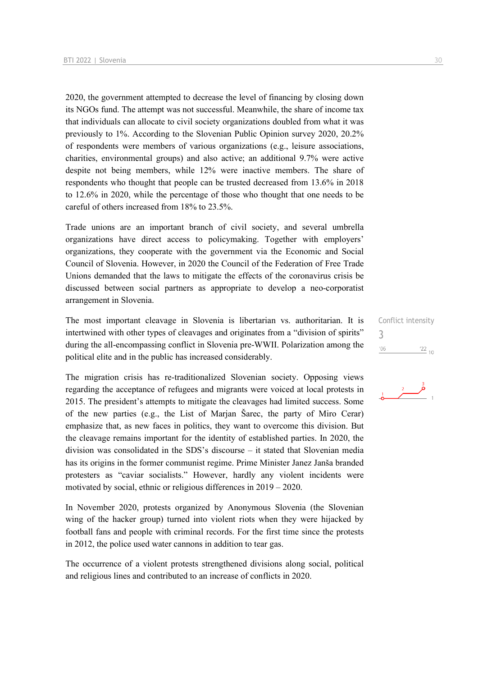2020, the government attempted to decrease the level of financing by closing down its NGOs fund. The attempt was not successful. Meanwhile, the share of income tax that individuals can allocate to civil society organizations doubled from what it was previously to 1%. According to the Slovenian Public Opinion survey 2020, 20.2% of respondents were members of various organizations (e.g., leisure associations, charities, environmental groups) and also active; an additional 9.7% were active despite not being members, while 12% were inactive members. The share of respondents who thought that people can be trusted decreased from 13.6% in 2018 to 12.6% in 2020, while the percentage of those who thought that one needs to be careful of others increased from 18% to 23.5%.

Trade unions are an important branch of civil society, and several umbrella organizations have direct access to policymaking. Together with employers' organizations, they cooperate with the government via the Economic and Social Council of Slovenia. However, in 2020 the Council of the Federation of Free Trade Unions demanded that the laws to mitigate the effects of the coronavirus crisis be discussed between social partners as appropriate to develop a neo-corporatist arrangement in Slovenia.

The most important cleavage in Slovenia is libertarian vs. authoritarian. It is intertwined with other types of cleavages and originates from a "division of spirits" during the all-encompassing conflict in Slovenia pre-WWII. Polarization among the political elite and in the public has increased considerably.

The migration crisis has re-traditionalized Slovenian society. Opposing views regarding the acceptance of refugees and migrants were voiced at local protests in 2015. The president's attempts to mitigate the cleavages had limited success. Some of the new parties (e.g., the List of Marjan Šarec, the party of Miro Cerar) emphasize that, as new faces in politics, they want to overcome this division. But the cleavage remains important for the identity of established parties. In 2020, the division was consolidated in the SDS's discourse – it stated that Slovenian media has its origins in the former communist regime. Prime Minister Janez Janša branded protesters as "caviar socialists." However, hardly any violent incidents were motivated by social, ethnic or religious differences in 2019 – 2020.

In November 2020, protests organized by Anonymous Slovenia (the Slovenian wing of the hacker group) turned into violent riots when they were hijacked by football fans and people with criminal records. For the first time since the protests in 2012, the police used water cannons in addition to tear gas.

The occurrence of a violent protests strengthened divisions along social, political and religious lines and contributed to an increase of conflicts in 2020.

Conflict intensity 3 $'06$  $\frac{22}{10}$ 

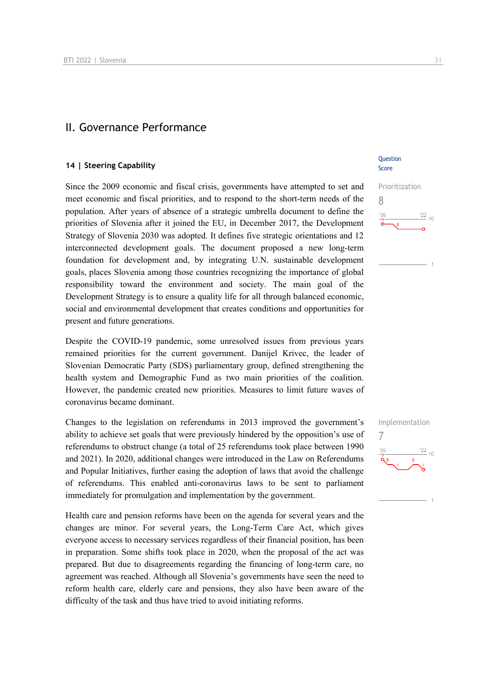## II. Governance Performance

#### **14 | Steering Capability**

Since the 2009 economic and fiscal crisis, governments have attempted to set and meet economic and fiscal priorities, and to respond to the short-term needs of the population. After years of absence of a strategic umbrella document to define the priorities of Slovenia after it joined the EU, in December 2017, the Development Strategy of Slovenia 2030 was adopted. It defines five strategic orientations and 12 interconnected development goals. The document proposed a new long-term foundation for development and, by integrating U.N. sustainable development goals, places Slovenia among those countries recognizing the importance of global responsibility toward the environment and society. The main goal of the Development Strategy is to ensure a quality life for all through balanced economic, social and environmental development that creates conditions and opportunities for present and future generations.

Despite the COVID-19 pandemic, some unresolved issues from previous years remained priorities for the current government. Danijel Krivec, the leader of Slovenian Democratic Party (SDS) parliamentary group, defined strengthening the health system and Demographic Fund as two main priorities of the coalition. However, the pandemic created new priorities. Measures to limit future waves of coronavirus became dominant.

Changes to the legislation on referendums in 2013 improved the government's ability to achieve set goals that were previously hindered by the opposition's use of referendums to obstruct change (a total of 25 referendums took place between 1990 and 2021). In 2020, additional changes were introduced in the Law on Referendums and Popular Initiatives, further easing the adoption of laws that avoid the challenge of referendums. This enabled anti-coronavirus laws to be sent to parliament immediately for promulgation and implementation by the government.

Health care and pension reforms have been on the agenda for several years and the changes are minor. For several years, the Long-Term Care Act, which gives everyone access to necessary services regardless of their financial position, has been in preparation. Some shifts took place in 2020, when the proposal of the act was prepared. But due to disagreements regarding the financing of long-term care, no agreement was reached. Although all Slovenia's governments have seen the need to reform health care, elderly care and pensions, they also have been aware of the difficulty of the task and thus have tried to avoid initiating reforms.

#### **Ouestion** Score



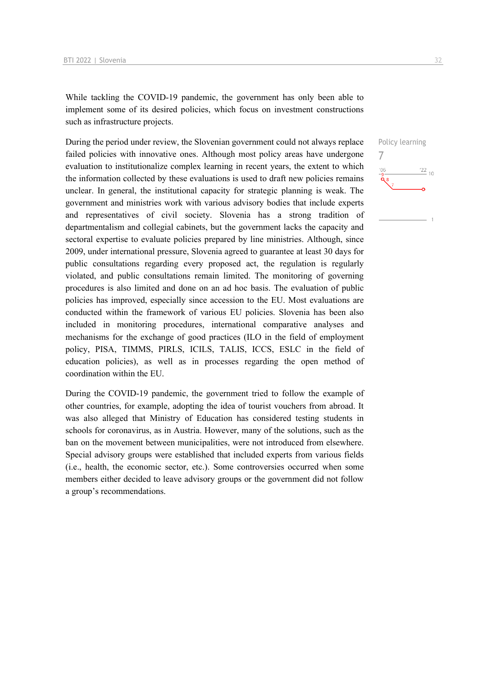While tackling the COVID-19 pandemic, the government has only been able to implement some of its desired policies, which focus on investment constructions such as infrastructure projects.

During the period under review, the Slovenian government could not always replace failed policies with innovative ones. Although most policy areas have undergone evaluation to institutionalize complex learning in recent years, the extent to which the information collected by these evaluations is used to draft new policies remains unclear. In general, the institutional capacity for strategic planning is weak. The government and ministries work with various advisory bodies that include experts and representatives of civil society. Slovenia has a strong tradition of departmentalism and collegial cabinets, but the government lacks the capacity and sectoral expertise to evaluate policies prepared by line ministries. Although, since 2009, under international pressure, Slovenia agreed to guarantee at least 30 days for public consultations regarding every proposed act, the regulation is regularly violated, and public consultations remain limited. The monitoring of governing procedures is also limited and done on an ad hoc basis. The evaluation of public policies has improved, especially since accession to the EU. Most evaluations are conducted within the framework of various EU policies. Slovenia has been also included in monitoring procedures, international comparative analyses and mechanisms for the exchange of good practices (ILO in the field of employment policy, PISA, TIMMS, PIRLS, ICILS, TALIS, ICCS, ESLC in the field of education policies), as well as in processes regarding the open method of coordination within the EU.

During the COVID-19 pandemic, the government tried to follow the example of other countries, for example, adopting the idea of tourist vouchers from abroad. It was also alleged that Ministry of Education has considered testing students in schools for coronavirus, as in Austria. However, many of the solutions, such as the ban on the movement between municipalities, were not introduced from elsewhere. Special advisory groups were established that included experts from various fields (i.e., health, the economic sector, etc.). Some controversies occurred when some members either decided to leave advisory groups or the government did not follow a group's recommendations.

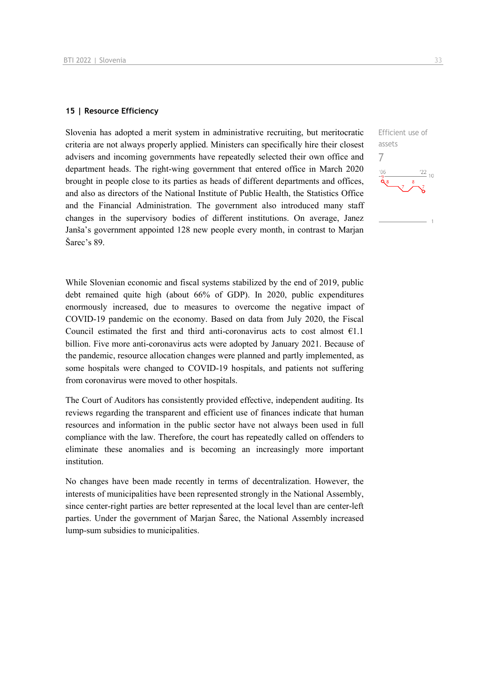#### **15 | Resource Efficiency**

Slovenia has adopted a merit system in administrative recruiting, but meritocratic criteria are not always properly applied. Ministers can specifically hire their closest advisers and incoming governments have repeatedly selected their own office and department heads. The right-wing government that entered office in March 2020 brought in people close to its parties as heads of different departments and offices, and also as directors of the National Institute of Public Health, the Statistics Office and the Financial Administration. The government also introduced many staff changes in the supervisory bodies of different institutions. On average, Janez Janša's government appointed 128 new people every month, in contrast to Marjan Šarec's 89.

While Slovenian economic and fiscal systems stabilized by the end of 2019, public debt remained quite high (about 66% of GDP). In 2020, public expenditures enormously increased, due to measures to overcome the negative impact of COVID-19 pandemic on the economy. Based on data from July 2020, the Fiscal Council estimated the first and third anti-coronavirus acts to cost almost  $E1.1$ billion. Five more anti-coronavirus acts were adopted by January 2021. Because of the pandemic, resource allocation changes were planned and partly implemented, as some hospitals were changed to COVID-19 hospitals, and patients not suffering from coronavirus were moved to other hospitals.

The Court of Auditors has consistently provided effective, independent auditing. Its reviews regarding the transparent and efficient use of finances indicate that human resources and information in the public sector have not always been used in full compliance with the law. Therefore, the court has repeatedly called on offenders to eliminate these anomalies and is becoming an increasingly more important institution.

No changes have been made recently in terms of decentralization. However, the interests of municipalities have been represented strongly in the National Assembly, since center-right parties are better represented at the local level than are center-left parties. Under the government of Marjan Šarec, the National Assembly increased lump-sum subsidies to municipalities.

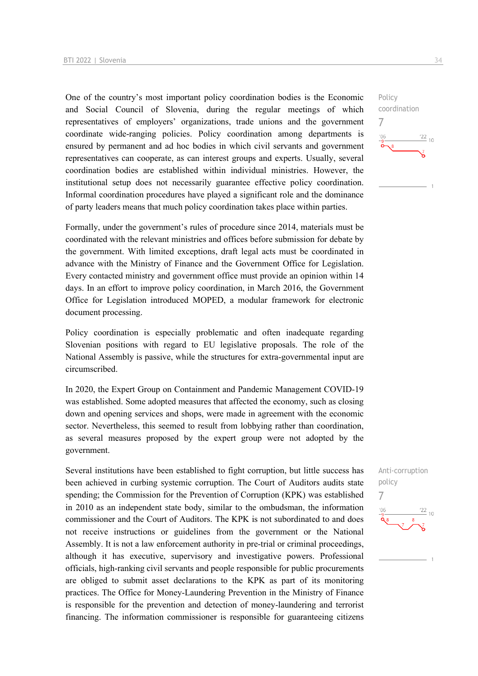One of the country's most important policy coordination bodies is the Economic and Social Council of Slovenia, during the regular meetings of which representatives of employers' organizations, trade unions and the government coordinate wide-ranging policies. Policy coordination among departments is ensured by permanent and ad hoc bodies in which civil servants and government representatives can cooperate, as can interest groups and experts. Usually, several coordination bodies are established within individual ministries. However, the institutional setup does not necessarily guarantee effective policy coordination. Informal coordination procedures have played a significant role and the dominance of party leaders means that much policy coordination takes place within parties.

Formally, under the government's rules of procedure since 2014, materials must be coordinated with the relevant ministries and offices before submission for debate by the government. With limited exceptions, draft legal acts must be coordinated in advance with the Ministry of Finance and the Government Office for Legislation. Every contacted ministry and government office must provide an opinion within 14 days. In an effort to improve policy coordination, in March 2016, the Government Office for Legislation introduced MOPED, a modular framework for electronic document processing.

Policy coordination is especially problematic and often inadequate regarding Slovenian positions with regard to EU legislative proposals. The role of the National Assembly is passive, while the structures for extra-governmental input are circumscribed.

In 2020, the Expert Group on Containment and Pandemic Management COVID-19 was established. Some adopted measures that affected the economy, such as closing down and opening services and shops, were made in agreement with the economic sector. Nevertheless, this seemed to result from lobbying rather than coordination, as several measures proposed by the expert group were not adopted by the government.

Several institutions have been established to fight corruption, but little success has been achieved in curbing systemic corruption. The Court of Auditors audits state spending; the Commission for the Prevention of Corruption (KPK) was established in 2010 as an independent state body, similar to the ombudsman, the information commissioner and the Court of Auditors. The KPK is not subordinated to and does not receive instructions or guidelines from the government or the National Assembly. It is not a law enforcement authority in pre-trial or criminal proceedings, although it has executive, supervisory and investigative powers. Professional officials, high-ranking civil servants and people responsible for public procurements are obliged to submit asset declarations to the KPK as part of its monitoring practices. The Office for Money-Laundering Prevention in the Ministry of Finance is responsible for the prevention and detection of money-laundering and terrorist financing. The information commissioner is responsible for guaranteeing citizens



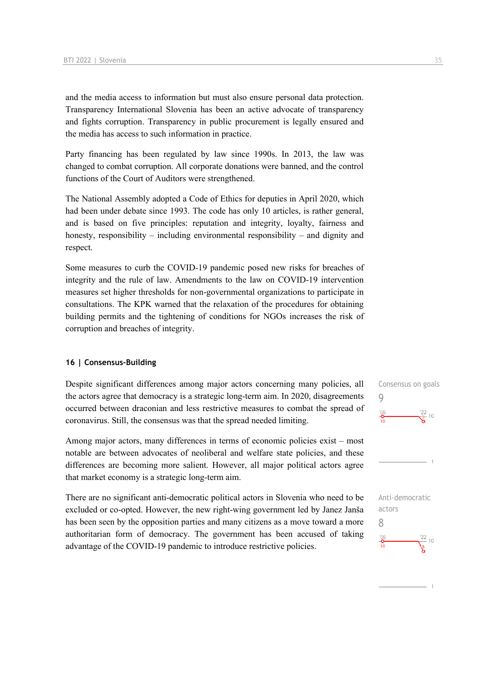and the media access to information but must also ensure personal data protection. Transparency International Slovenia has been an active advocate of transparency and fights corruption. Transparency in public procurement is legally ensured and the media has access to such information in practice.

Party financing has been regulated by law since 1990s. In 2013, the law was changed to combat corruption. All corporate donations were banned, and the control functions of the Court of Auditors were strengthened.

The National Assembly adopted a Code of Ethics for deputies in April 2020, which had been under debate since 1993. The code has only 10 articles, is rather general, and is based on five principles: reputation and integrity, loyalty, fairness and honesty, responsibility – including environmental responsibility – and dignity and respect.

Some measures to curb the COVID-19 pandemic posed new risks for breaches of integrity and the rule of law. Amendments to the law on COVID-19 intervention measures set higher thresholds for non-governmental organizations to participate in consultations. The KPK warned that the relaxation of the procedures for obtaining building permits and the tightening of conditions for NGOs increases the risk of corruption and breaches of integrity.

#### **16 | Consensus-Building**

Despite significant differences among major actors concerning many policies, all the actors agree that democracy is a strategic long-term aim. In 2020, disagreements occurred between draconian and less restrictive measures to combat the spread of coronavirus. Still, the consensus was that the spread needed limiting.

Among major actors, many differences in terms of economic policies exist – most notable are between advocates of neoliberal and welfare state policies, and these differences are becoming more salient. However, all major political actors agree that market economy is a strategic long-term aim.

There are no significant anti-democratic political actors in Slovenia who need to be excluded or co-opted. However, the new right-wing government led by Janez Janša has been seen by the opposition parties and many citizens as a move toward a more authoritarian form of democracy. The government has been accused of taking advantage of the COVID-19 pandemic to introduce restrictive policies.

Consensus on goals 9  $\frac{106}{10}$  $\frac{22}{9}$  10

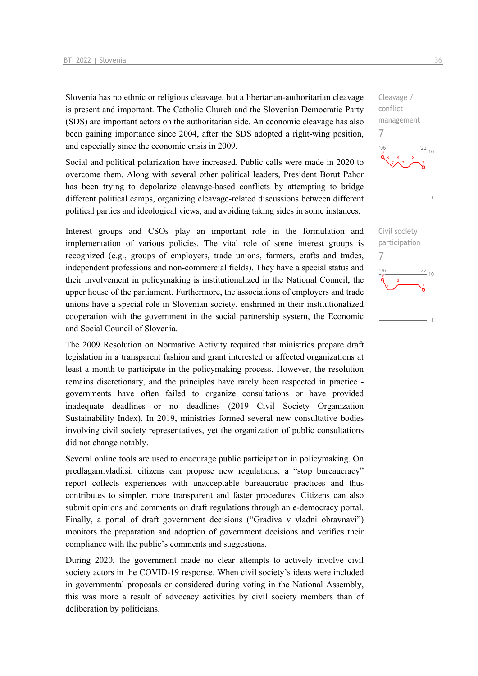Slovenia has no ethnic or religious cleavage, but a libertarian-authoritarian cleavage is present and important. The Catholic Church and the Slovenian Democratic Party (SDS) are important actors on the authoritarian side. An economic cleavage has also been gaining importance since 2004, after the SDS adopted a right-wing position, and especially since the economic crisis in 2009.

Social and political polarization have increased. Public calls were made in 2020 to overcome them. Along with several other political leaders, President Borut Pahor has been trying to depolarize cleavage-based conflicts by attempting to bridge different political camps, organizing cleavage-related discussions between different political parties and ideological views, and avoiding taking sides in some instances.

Interest groups and CSOs play an important role in the formulation and implementation of various policies. The vital role of some interest groups is recognized (e.g., groups of employers, trade unions, farmers, crafts and trades, independent professions and non-commercial fields). They have a special status and their involvement in policymaking is institutionalized in the National Council, the upper house of the parliament. Furthermore, the associations of employers and trade unions have a special role in Slovenian society, enshrined in their institutionalized cooperation with the government in the social partnership system, the Economic and Social Council of Slovenia.

The 2009 Resolution on Normative Activity required that ministries prepare draft legislation in a transparent fashion and grant interested or affected organizations at least a month to participate in the policymaking process. However, the resolution remains discretionary, and the principles have rarely been respected in practice governments have often failed to organize consultations or have provided inadequate deadlines or no deadlines (2019 Civil Society Organization Sustainability Index). In 2019, ministries formed several new consultative bodies involving civil society representatives, yet the organization of public consultations did not change notably.

Several online tools are used to encourage public participation in policymaking. On predlagam.vladi.si, citizens can propose new regulations; a "stop bureaucracy" report collects experiences with unacceptable bureaucratic practices and thus contributes to simpler, more transparent and faster procedures. Citizens can also submit opinions and comments on draft regulations through an e-democracy portal. Finally, a portal of draft government decisions ("Gradiva v vladni obravnavi") monitors the preparation and adoption of government decisions and verifies their compliance with the public's comments and suggestions.

During 2020, the government made no clear attempts to actively involve civil society actors in the COVID-19 response. When civil society's ideas were included in governmental proposals or considered during voting in the National Assembly, this was more a result of advocacy activities by civil society members than of deliberation by politicians.

conflict management 7  $\frac{22}{10}$ Civil society participation 7 $\frac{22}{10}$ 

Cleavage /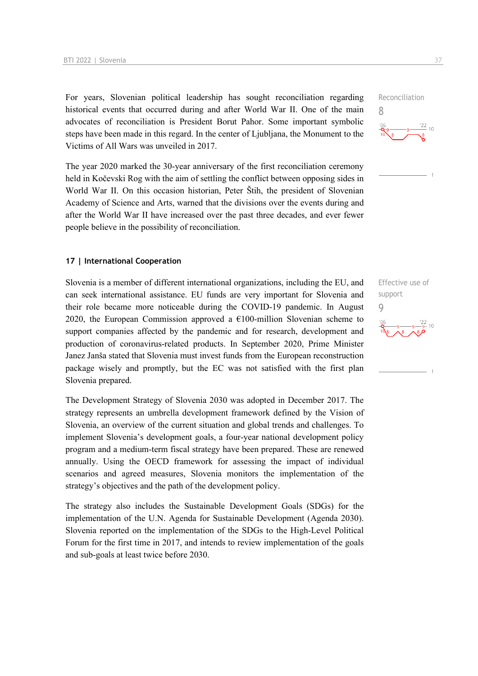For years, Slovenian political leadership has sought reconciliation regarding historical events that occurred during and after World War II. One of the main advocates of reconciliation is President Borut Pahor. Some important symbolic steps have been made in this regard. In the center of Ljubljana, the Monument to the Victims of All Wars was unveiled in 2017.

The year 2020 marked the 30-year anniversary of the first reconciliation ceremony held in Kočevski Rog with the aim of settling the conflict between opposing sides in World War II. On this occasion historian, Peter Štih, the president of Slovenian Academy of Science and Arts, warned that the divisions over the events during and after the World War II have increased over the past three decades, and ever fewer people believe in the possibility of reconciliation.

#### **17 | International Cooperation**

Slovenia is a member of different international organizations, including the EU, and can seek international assistance. EU funds are very important for Slovenia and their role became more noticeable during the COVID-19 pandemic. In August 2020, the European Commission approved a  $€100$ -million Slovenian scheme to support companies affected by the pandemic and for research, development and production of coronavirus-related products. In September 2020, Prime Minister Janez Janša stated that Slovenia must invest funds from the European reconstruction package wisely and promptly, but the EC was not satisfied with the first plan Slovenia prepared.

The Development Strategy of Slovenia 2030 was adopted in December 2017. The strategy represents an umbrella development framework defined by the Vision of Slovenia, an overview of the current situation and global trends and challenges. To implement Slovenia's development goals, a four-year national development policy program and a medium-term fiscal strategy have been prepared. These are renewed annually. Using the OECD framework for assessing the impact of individual scenarios and agreed measures, Slovenia monitors the implementation of the strategy's objectives and the path of the development policy.

The strategy also includes the Sustainable Development Goals (SDGs) for the implementation of the U.N. Agenda for Sustainable Development (Agenda 2030). Slovenia reported on the implementation of the SDGs to the High-Level Political Forum for the first time in 2017, and intends to review implementation of the goals and sub-goals at least twice before 2030.

Effective use of support 9



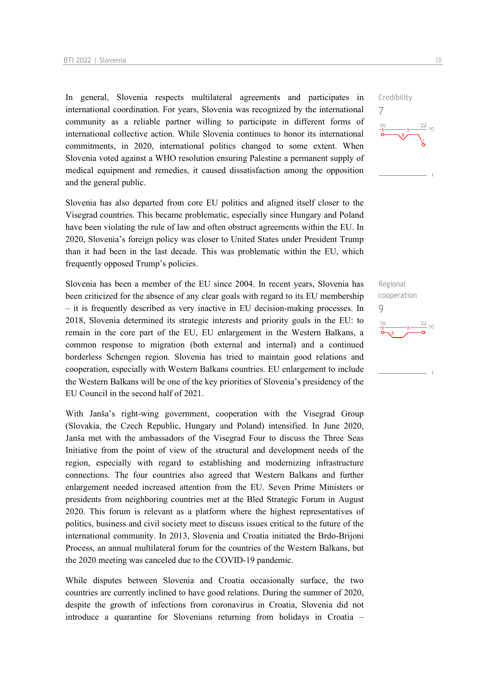In general, Slovenia respects multilateral agreements and participates in international coordination. For years, Slovenia was recognized by the international community as a reliable partner willing to participate in different forms of international collective action. While Slovenia continues to honor its international commitments, in 2020, international politics changed to some extent. When Slovenia voted against a WHO resolution ensuring Palestine a permanent supply of medical equipment and remedies, it caused dissatisfaction among the opposition and the general public.

Slovenia has also departed from core EU politics and aligned itself closer to the Visegrad countries. This became problematic, especially since Hungary and Poland have been violating the rule of law and often obstruct agreements within the EU. In 2020, Slovenia's foreign policy was closer to United States under President Trump than it had been in the last decade. This was problematic within the EU, which frequently opposed Trump's policies.

Slovenia has been a member of the EU since 2004. In recent years, Slovenia has been criticized for the absence of any clear goals with regard to its EU membership – it is frequently described as very inactive in EU decision-making processes. In 2018, Slovenia determined its strategic interests and priority goals in the EU: to remain in the core part of the EU, EU enlargement in the Western Balkans, a common response to migration (both external and internal) and a continued borderless Schengen region. Slovenia has tried to maintain good relations and cooperation, especially with Western Balkans countries. EU enlargement to include the Western Balkans will be one of the key priorities of Slovenia's presidency of the EU Council in the second half of 2021.

With Janša's right-wing government, cooperation with the Visegrad Group (Slovakia, the Czech Republic, Hungary and Poland) intensified. In June 2020, Janša met with the ambassadors of the Visegrad Four to discuss the Three Seas Initiative from the point of view of the structural and development needs of the region, especially with regard to establishing and modernizing infrastructure connections. The four countries also agreed that Western Balkans and further enlargement needed increased attention from the EU. Seven Prime Ministers or presidents from neighboring countries met at the Bled Strategic Forum in August 2020. This forum is relevant as a platform where the highest representatives of politics, business and civil society meet to discuss issues critical to the future of the international community. In 2013, Slovenia and Croatia initiated the Brdo-Brijoni Process, an annual multilateral forum for the countries of the Western Balkans, but the 2020 meeting was canceled due to the COVID-19 pandemic.

While disputes between Slovenia and Croatia occasionally surface, the two countries are currently inclined to have good relations. During the summer of 2020, despite the growth of infections from coronavirus in Croatia, Slovenia did not introduce a quarantine for Slovenians returning from holidays in Croatia –



Regional cooperation 9 $\frac{22}{10}$  $106$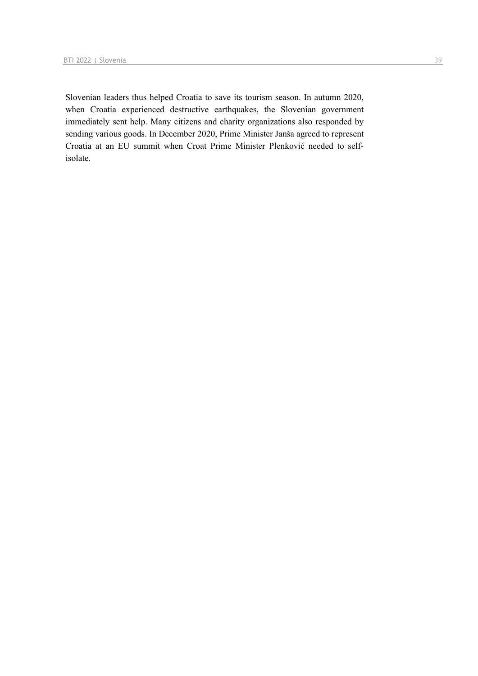Slovenian leaders thus helped Croatia to save its tourism season. In autumn 2020, when Croatia experienced destructive earthquakes, the Slovenian government immediately sent help. Many citizens and charity organizations also responded by sending various goods. In December 2020, Prime Minister Janša agreed to represent Croatia at an EU summit when Croat Prime Minister Plenković needed to selfisolate.